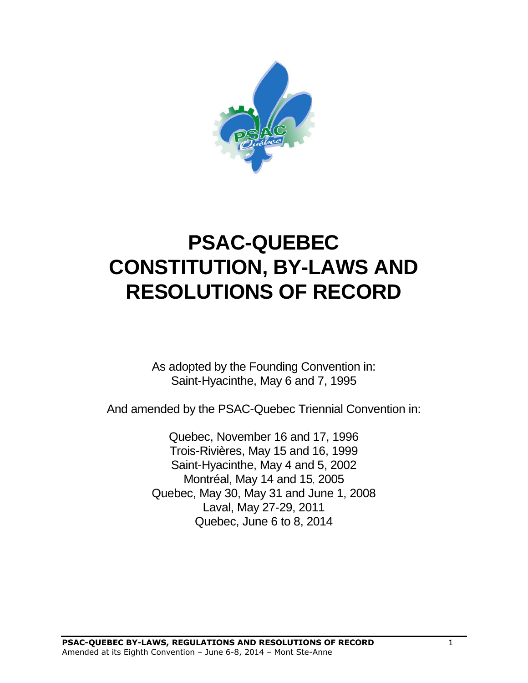

# **PSAC-QUEBEC CONSTITUTION, BY-LAWS AND RESOLUTIONS OF RECORD**

As adopted by the Founding Convention in: Saint-Hyacinthe, May 6 and 7, 1995

And amended by the PSAC-Quebec Triennial Convention in:

Quebec, November 16 and 17, 1996 Trois-Rivières, May 15 and 16, 1999 Saint-Hyacinthe, May 4 and 5, 2002 Montréal, May 14 and 15, 2005 Quebec, May 30, May 31 and June 1, 2008 Laval, May 27-29, 2011 Quebec, June 6 to 8, 2014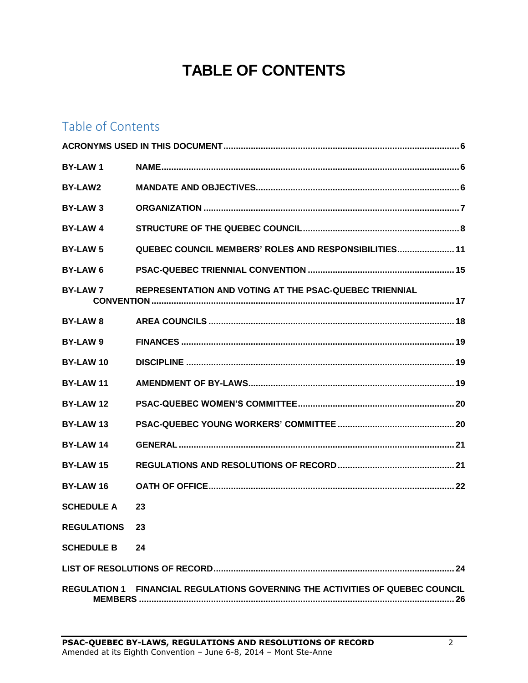# **TABLE OF CONTENTS**

# Table of Contents

| <b>BY-LAW1</b>        |                                                                                      |  |  |  |
|-----------------------|--------------------------------------------------------------------------------------|--|--|--|
| <b>BY-LAW2</b>        |                                                                                      |  |  |  |
| BY-LAW 3              |                                                                                      |  |  |  |
| <b>BY-LAW4</b>        |                                                                                      |  |  |  |
| <b>BY-LAW 5</b>       | <b>QUEBEC COUNCIL MEMBERS' ROLES AND RESPONSIBILITIES 11</b>                         |  |  |  |
| <b>BY-LAW 6</b>       |                                                                                      |  |  |  |
| <b>BY-LAW 7</b>       | REPRESENTATION AND VOTING AT THE PSAC-QUEBEC TRIENNIAL                               |  |  |  |
| <b>BY-LAW 8</b>       |                                                                                      |  |  |  |
| BY-LAW 9              |                                                                                      |  |  |  |
| BY-LAW 10             |                                                                                      |  |  |  |
| <b>BY-LAW11</b>       |                                                                                      |  |  |  |
| BY-LAW 12             |                                                                                      |  |  |  |
| BY-LAW 13             |                                                                                      |  |  |  |
| <b>BY-LAW 14</b>      |                                                                                      |  |  |  |
| <b>BY-LAW 15</b>      |                                                                                      |  |  |  |
| BY-LAW 16             |                                                                                      |  |  |  |
| <b>SCHEDULE A</b>     | 23                                                                                   |  |  |  |
| <b>REGULATIONS 23</b> |                                                                                      |  |  |  |
| <b>SCHEDULE B</b>     | 24                                                                                   |  |  |  |
|                       |                                                                                      |  |  |  |
|                       | <b>REGULATION 1 FINANCIAL REGULATIONS GOVERNING THE ACTIVITIES OF QUEBEC COUNCIL</b> |  |  |  |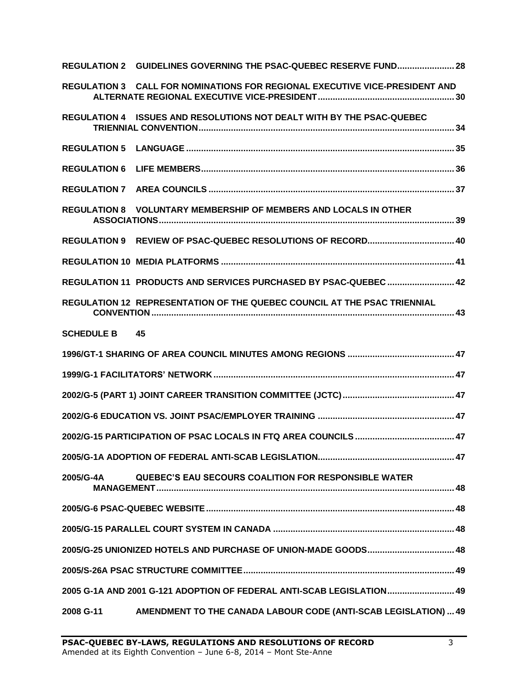|                      | REGULATION 2 GUIDELINES GOVERNING THE PSAC-QUEBEC RESERVE FUND 28           |  |
|----------------------|-----------------------------------------------------------------------------|--|
|                      | REGULATION 3 CALL FOR NOMINATIONS FOR REGIONAL EXECUTIVE VICE-PRESIDENT AND |  |
|                      | REGULATION 4 ISSUES AND RESOLUTIONS NOT DEALT WITH BY THE PSAC-QUEBEC       |  |
|                      |                                                                             |  |
|                      |                                                                             |  |
|                      |                                                                             |  |
|                      | <b>REGULATION 8 VOLUNTARY MEMBERSHIP OF MEMBERS AND LOCALS IN OTHER</b>     |  |
|                      |                                                                             |  |
|                      |                                                                             |  |
|                      | REGULATION 11 PRODUCTS AND SERVICES PURCHASED BY PSAC-QUEBEC  42            |  |
|                      | REGULATION 12 REPRESENTATION OF THE QUEBEC COUNCIL AT THE PSAC TRIENNIAL    |  |
| <b>SCHEDULE B</b> 45 |                                                                             |  |
|                      |                                                                             |  |
|                      |                                                                             |  |
|                      |                                                                             |  |
|                      |                                                                             |  |
|                      |                                                                             |  |
|                      |                                                                             |  |
| 2005/G-4A            | <b>QUEBEC'S EAU SECOURS COALITION FOR RESPONSIBLE WATER</b>                 |  |
|                      |                                                                             |  |
|                      |                                                                             |  |
|                      |                                                                             |  |
|                      |                                                                             |  |
|                      | 2005 G-1A AND 2001 G-121 ADOPTION OF FEDERAL ANTI-SCAB LEGISLATION 49       |  |
| 2008 G-11            | AMENDMENT TO THE CANADA LABOUR CODE (ANTI-SCAB LEGISLATION)  49             |  |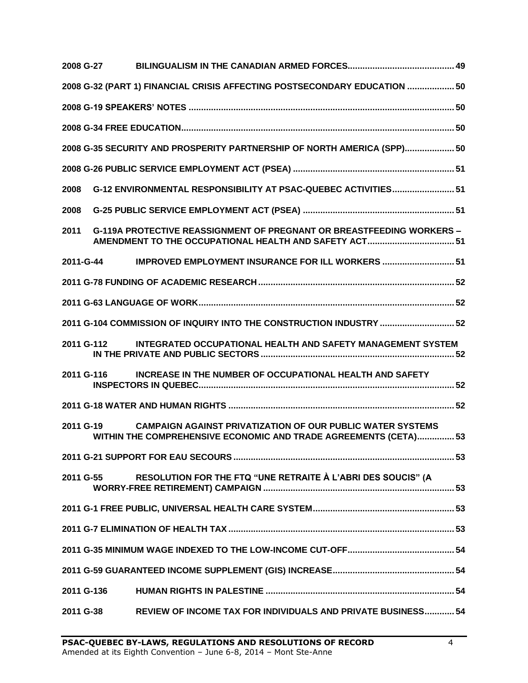|           | 2008 G-27  |                                                                                                                                        |  |
|-----------|------------|----------------------------------------------------------------------------------------------------------------------------------------|--|
|           |            | 2008 G-32 (PART 1) FINANCIAL CRISIS AFFECTING POSTSECONDARY EDUCATION  50                                                              |  |
|           |            |                                                                                                                                        |  |
|           |            |                                                                                                                                        |  |
|           |            | 2008 G-35 SECURITY AND PROSPERITY PARTNERSHIP OF NORTH AMERICA (SPP) 50                                                                |  |
|           |            |                                                                                                                                        |  |
| 2008      |            | G-12 ENVIRONMENTAL RESPONSIBILITY AT PSAC-QUEBEC ACTIVITIES 51                                                                         |  |
| 2008      |            |                                                                                                                                        |  |
| 2011      |            | <b>G-119A PROTECTIVE REASSIGNMENT OF PREGNANT OR BREASTFEEDING WORKERS -</b><br>AMENDMENT TO THE OCCUPATIONAL HEALTH AND SAFETY ACT 51 |  |
|           | 2011-G-44  | <b>IMPROVED EMPLOYMENT INSURANCE FOR ILL WORKERS  51</b>                                                                               |  |
|           |            |                                                                                                                                        |  |
|           |            |                                                                                                                                        |  |
|           |            | 2011 G-104 COMMISSION OF INQUIRY INTO THE CONSTRUCTION INDUSTRY  52                                                                    |  |
|           | 2011 G-112 | INTEGRATED OCCUPATIONAL HEALTH AND SAFETY MANAGEMENT SYSTEM                                                                            |  |
|           | 2011 G-116 | INCREASE IN THE NUMBER OF OCCUPATIONAL HEALTH AND SAFETY                                                                               |  |
|           |            |                                                                                                                                        |  |
| 2011 G-19 |            | <b>CAMPAIGN AGAINST PRIVATIZATION OF OUR PUBLIC WATER SYSTEMS</b><br>WITHIN THE COMPREHENSIVE ECONOMIC AND TRADE AGREEMENTS (CETA) 53  |  |
|           |            |                                                                                                                                        |  |
|           | 2011 G-55  | RESOLUTION FOR THE FTQ "UNE RETRAITE À L'ABRI DES SOUCIS" (A                                                                           |  |
|           |            |                                                                                                                                        |  |
|           |            |                                                                                                                                        |  |
|           |            |                                                                                                                                        |  |
|           |            |                                                                                                                                        |  |
|           | 2011 G-136 |                                                                                                                                        |  |
|           | 2011 G-38  | <b>REVIEW OF INCOME TAX FOR INDIVIDUALS AND PRIVATE BUSINESS 54</b>                                                                    |  |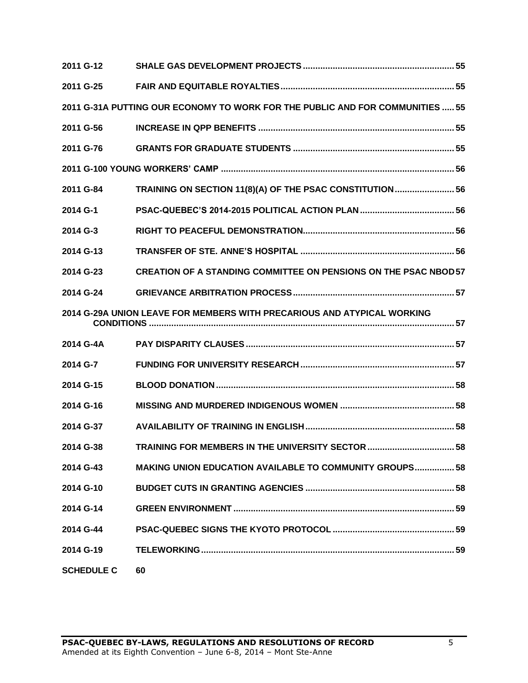| 2011 G-12         |                                                                               |  |
|-------------------|-------------------------------------------------------------------------------|--|
| 2011 G-25         |                                                                               |  |
|                   | 2011 G-31A PUTTING OUR ECONOMY TO WORK FOR THE PUBLIC AND FOR COMMUNITIES  55 |  |
| 2011 G-56         |                                                                               |  |
| 2011 G-76         |                                                                               |  |
|                   |                                                                               |  |
| 2011 G-84         | TRAINING ON SECTION 11(8)(A) OF THE PSAC CONSTITUTION 56                      |  |
| 2014 G-1          |                                                                               |  |
| 2014 G-3          |                                                                               |  |
| 2014 G-13         |                                                                               |  |
| 2014 G-23         | <b>CREATION OF A STANDING COMMITTEE ON PENSIONS ON THE PSAC NBOD57</b>        |  |
| 2014 G-24         |                                                                               |  |
|                   | 2014 G-29A UNION LEAVE FOR MEMBERS WITH PRECARIOUS AND ATYPICAL WORKING       |  |
| 2014 G-4A         |                                                                               |  |
| 2014 G-7          |                                                                               |  |
| 2014 G-15         |                                                                               |  |
| 2014 G-16         |                                                                               |  |
| 2014 G-37         |                                                                               |  |
| 2014 G-38         | TRAINING FOR MEMBERS IN THE UNIVERSITY SECTOR  58                             |  |
| 2014 G-43         | <b>MAKING UNION EDUCATION AVAILABLE TO COMMUNITY GROUPS 58</b>                |  |
| 2014 G-10         |                                                                               |  |
| 2014 G-14         |                                                                               |  |
| 2014 G-44         |                                                                               |  |
| 2014 G-19         |                                                                               |  |
| <b>SCHEDULE C</b> | 60                                                                            |  |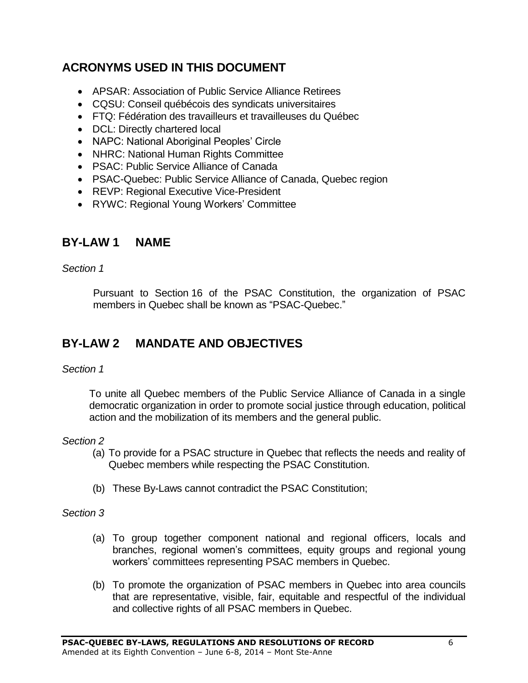# <span id="page-5-0"></span>**ACRONYMS USED IN THIS DOCUMENT**

- APSAR: Association of Public Service Alliance Retirees
- CQSU: Conseil québécois des syndicats universitaires
- FTQ: Fédération des travailleurs et travailleuses du Québec
- DCL: Directly chartered local
- NAPC: National Aboriginal Peoples' Circle
- NHRC: National Human Rights Committee
- PSAC: Public Service Alliance of Canada
- PSAC-Quebec: Public Service Alliance of Canada, Quebec region
- REVP: Regional Executive Vice-President
- RYWC: Regional Young Workers' Committee

# <span id="page-5-1"></span>**BY-LAW 1 NAME**

*Section 1*

Pursuant to Section 16 of the PSAC Constitution, the organization of PSAC members in Quebec shall be known as "PSAC-Quebec."

# <span id="page-5-2"></span>**BY-LAW 2 MANDATE AND OBJECTIVES**

### *Section 1*

To unite all Quebec members of the Public Service Alliance of Canada in a single democratic organization in order to promote social justice through education, political action and the mobilization of its members and the general public.

### *Section 2*

- (a) To provide for a PSAC structure in Quebec that reflects the needs and reality of Quebec members while respecting the PSAC Constitution.
- (b) These By-Laws cannot contradict the PSAC Constitution;

- (a) To group together component national and regional officers, locals and branches, regional women's committees, equity groups and regional young workers' committees representing PSAC members in Quebec.
- (b) To promote the organization of PSAC members in Quebec into area councils that are representative, visible, fair, equitable and respectful of the individual and collective rights of all PSAC members in Quebec.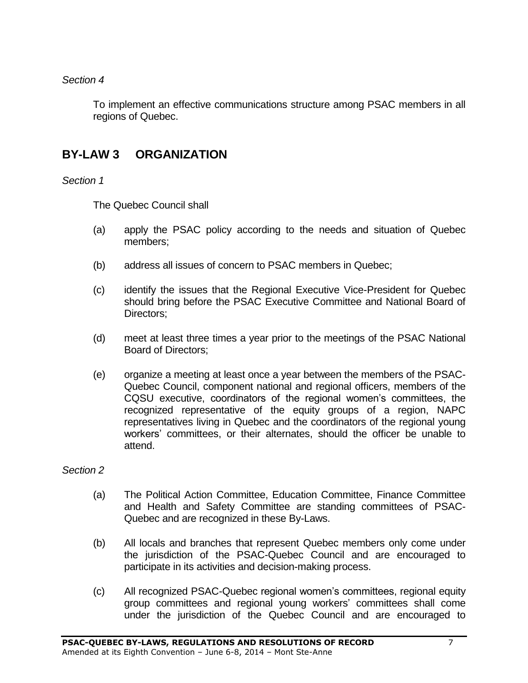### *Section 4*

To implement an effective communications structure among PSAC members in all regions of Quebec.

# <span id="page-6-0"></span>**BY-LAW 3 ORGANIZATION**

*Section 1*

The Quebec Council shall

- (a) apply the PSAC policy according to the needs and situation of Quebec members;
- (b) address all issues of concern to PSAC members in Quebec;
- (c) identify the issues that the Regional Executive Vice-President for Quebec should bring before the PSAC Executive Committee and National Board of Directors;
- (d) meet at least three times a year prior to the meetings of the PSAC National Board of Directors;
- (e) organize a meeting at least once a year between the members of the PSAC-Quebec Council, component national and regional officers, members of the CQSU executive, coordinators of the regional women's committees, the recognized representative of the equity groups of a region, NAPC representatives living in Quebec and the coordinators of the regional young workers' committees, or their alternates, should the officer be unable to attend.

- (a) The Political Action Committee, Education Committee, Finance Committee and Health and Safety Committee are standing committees of PSAC-Quebec and are recognized in these By-Laws.
- (b) All locals and branches that represent Quebec members only come under the jurisdiction of the PSAC-Quebec Council and are encouraged to participate in its activities and decision-making process.
- (c) All recognized PSAC-Quebec regional women's committees, regional equity group committees and regional young workers' committees shall come under the jurisdiction of the Quebec Council and are encouraged to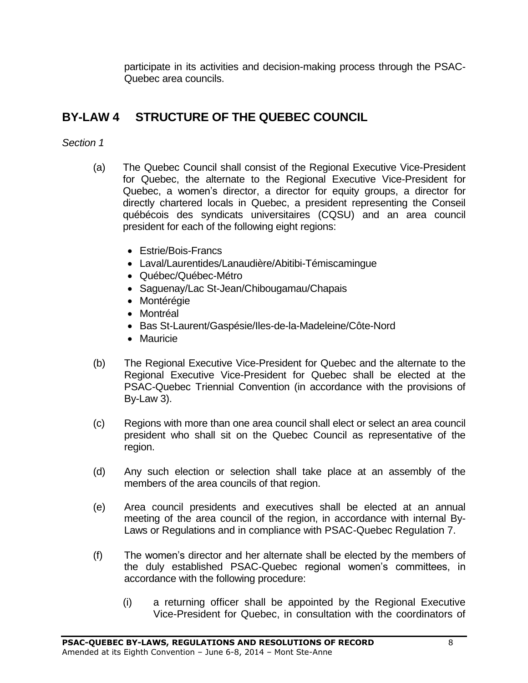participate in its activities and decision-making process through the PSAC-Quebec area councils.

# <span id="page-7-0"></span>**BY-LAW 4 STRUCTURE OF THE QUEBEC COUNCIL**

- (a) The Quebec Council shall consist of the Regional Executive Vice-President for Quebec, the alternate to the Regional Executive Vice-President for Quebec, a women's director, a director for equity groups, a director for directly chartered locals in Quebec, a president representing the Conseil québécois des syndicats universitaires (CQSU) and an area council president for each of the following eight regions:
	- Estrie/Bois-Francs
	- Laval/Laurentides/Lanaudière/Abitibi-Témiscamingue
	- Québec/Québec-Métro
	- Saguenay/Lac St-Jean/Chibougamau/Chapais
	- Montérégie
	- Montréal
	- Bas St-Laurent/Gaspésie/Iles-de-la-Madeleine/Côte-Nord
	- Mauricie
- (b) The Regional Executive Vice-President for Quebec and the alternate to the Regional Executive Vice-President for Quebec shall be elected at the PSAC-Quebec Triennial Convention (in accordance with the provisions of By-Law 3).
- (c) Regions with more than one area council shall elect or select an area council president who shall sit on the Quebec Council as representative of the region.
- (d) Any such election or selection shall take place at an assembly of the members of the area councils of that region.
- (e) Area council presidents and executives shall be elected at an annual meeting of the area council of the region, in accordance with internal By-Laws or Regulations and in compliance with PSAC-Quebec Regulation 7.
- (f) The women's director and her alternate shall be elected by the members of the duly established PSAC-Quebec regional women's committees, in accordance with the following procedure:
	- (i) a returning officer shall be appointed by the Regional Executive Vice-President for Quebec, in consultation with the coordinators of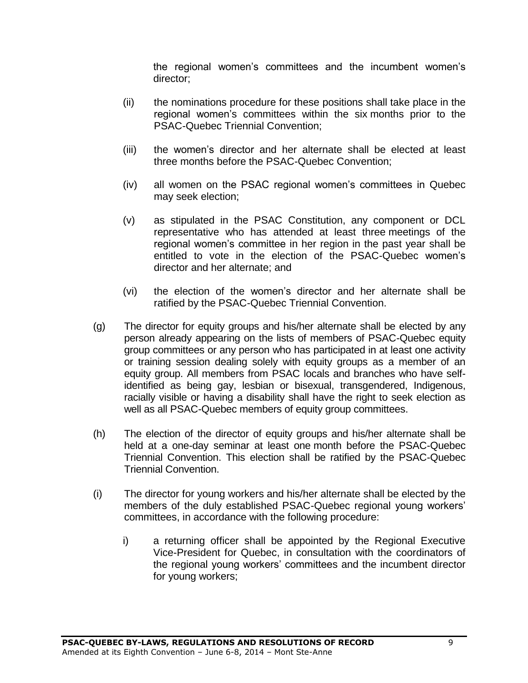the regional women's committees and the incumbent women's director;

- (ii) the nominations procedure for these positions shall take place in the regional women's committees within the six months prior to the PSAC-Quebec Triennial Convention;
- (iii) the women's director and her alternate shall be elected at least three months before the PSAC-Quebec Convention;
- (iv) all women on the PSAC regional women's committees in Quebec may seek election;
- (v) as stipulated in the PSAC Constitution, any component or DCL representative who has attended at least three meetings of the regional women's committee in her region in the past year shall be entitled to vote in the election of the PSAC-Quebec women's director and her alternate; and
- (vi) the election of the women's director and her alternate shall be ratified by the PSAC-Quebec Triennial Convention.
- (g) The director for equity groups and his/her alternate shall be elected by any person already appearing on the lists of members of PSAC-Quebec equity group committees or any person who has participated in at least one activity or training session dealing solely with equity groups as a member of an equity group. All members from PSAC locals and branches who have selfidentified as being gay, lesbian or bisexual, transgendered, Indigenous, racially visible or having a disability shall have the right to seek election as well as all PSAC-Quebec members of equity group committees.
- (h) The election of the director of equity groups and his/her alternate shall be held at a one-day seminar at least one month before the PSAC-Quebec Triennial Convention. This election shall be ratified by the PSAC-Quebec Triennial Convention.
- (i) The director for young workers and his/her alternate shall be elected by the members of the duly established PSAC-Quebec regional young workers' committees, in accordance with the following procedure:
	- i) a returning officer shall be appointed by the Regional Executive Vice-President for Quebec, in consultation with the coordinators of the regional young workers' committees and the incumbent director for young workers;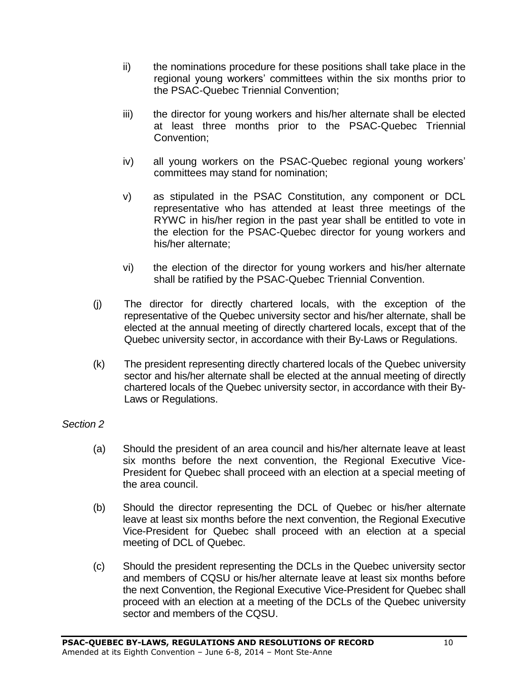- ii) the nominations procedure for these positions shall take place in the regional young workers' committees within the six months prior to the PSAC-Quebec Triennial Convention;
- iii) the director for young workers and his/her alternate shall be elected at least three months prior to the PSAC-Quebec Triennial Convention;
- iv) all young workers on the PSAC-Quebec regional young workers' committees may stand for nomination;
- v) as stipulated in the PSAC Constitution, any component or DCL representative who has attended at least three meetings of the RYWC in his/her region in the past year shall be entitled to vote in the election for the PSAC-Quebec director for young workers and his/her alternate;
- vi) the election of the director for young workers and his/her alternate shall be ratified by the PSAC-Quebec Triennial Convention.
- (j) The director for directly chartered locals, with the exception of the representative of the Quebec university sector and his/her alternate, shall be elected at the annual meeting of directly chartered locals, except that of the Quebec university sector, in accordance with their By-Laws or Regulations.
- (k) The president representing directly chartered locals of the Quebec university sector and his/her alternate shall be elected at the annual meeting of directly chartered locals of the Quebec university sector, in accordance with their By-Laws or Regulations.

- (a) Should the president of an area council and his/her alternate leave at least six months before the next convention, the Regional Executive Vice-President for Quebec shall proceed with an election at a special meeting of the area council.
- (b) Should the director representing the DCL of Quebec or his/her alternate leave at least six months before the next convention, the Regional Executive Vice-President for Quebec shall proceed with an election at a special meeting of DCL of Quebec.
- (c) Should the president representing the DCLs in the Quebec university sector and members of CQSU or his/her alternate leave at least six months before the next Convention, the Regional Executive Vice-President for Quebec shall proceed with an election at a meeting of the DCLs of the Quebec university sector and members of the CQSU.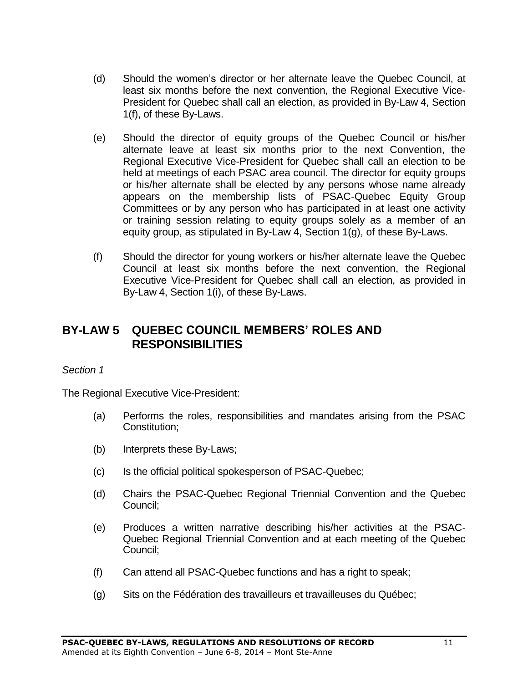- (d) Should the women's director or her alternate leave the Quebec Council, at least six months before the next convention, the Regional Executive Vice-President for Quebec shall call an election, as provided in By-Law 4, Section 1(f), of these By-Laws.
- (e) Should the director of equity groups of the Quebec Council or his/her alternate leave at least six months prior to the next Convention, the Regional Executive Vice-President for Quebec shall call an election to be held at meetings of each PSAC area council. The director for equity groups or his/her alternate shall be elected by any persons whose name already appears on the membership lists of PSAC-Quebec Equity Group Committees or by any person who has participated in at least one activity or training session relating to equity groups solely as a member of an equity group, as stipulated in By-Law 4, Section 1(g), of these By-Laws.
- (f) Should the director for young workers or his/her alternate leave the Quebec Council at least six months before the next convention, the Regional Executive Vice-President for Quebec shall call an election, as provided in By-Law 4, Section 1(i), of these By-Laws.

# <span id="page-10-0"></span>**BY-LAW 5 QUEBEC COUNCIL MEMBERS' ROLES AND RESPONSIBILITIES**

### *Section 1*

The Regional Executive Vice-President:

- (a) Performs the roles, responsibilities and mandates arising from the PSAC Constitution;
- (b) Interprets these By-Laws;
- (c) Is the official political spokesperson of PSAC-Quebec;
- (d) Chairs the PSAC-Quebec Regional Triennial Convention and the Quebec Council;
- (e) Produces a written narrative describing his/her activities at the PSAC-Quebec Regional Triennial Convention and at each meeting of the Quebec Council;
- (f) Can attend all PSAC-Quebec functions and has a right to speak;
- (g) Sits on the Fédération des travailleurs et travailleuses du Québec;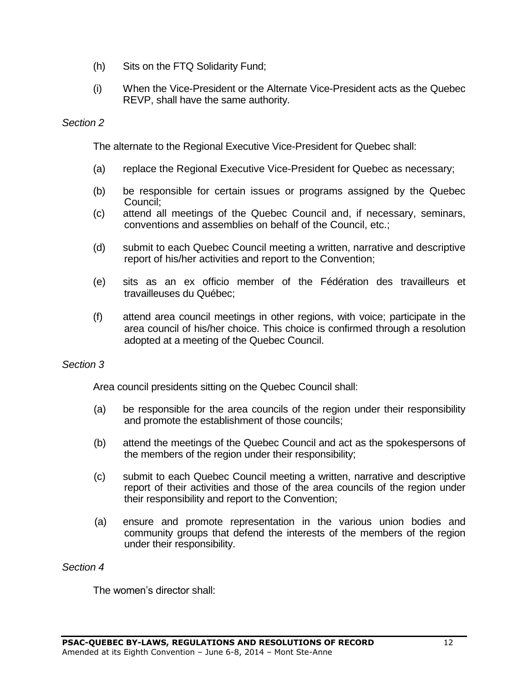- (h) Sits on the FTQ Solidarity Fund;
- (i) When the Vice-President or the Alternate Vice-President acts as the Quebec REVP, shall have the same authority.

### *Section 2*

The alternate to the Regional Executive Vice-President for Quebec shall:

- (a) replace the Regional Executive Vice-President for Quebec as necessary;
- (b) be responsible for certain issues or programs assigned by the Quebec Council;
- (c) attend all meetings of the Quebec Council and, if necessary, seminars, conventions and assemblies on behalf of the Council, etc.;
- (d) submit to each Quebec Council meeting a written, narrative and descriptive report of his/her activities and report to the Convention;
- (e) sits as an ex officio member of the Fédération des travailleurs et travailleuses du Québec;
- (f) attend area council meetings in other regions, with voice; participate in the area council of his/her choice. This choice is confirmed through a resolution adopted at a meeting of the Quebec Council.

#### *Section 3*

Area council presidents sitting on the Quebec Council shall:

- (a) be responsible for the area councils of the region under their responsibility and promote the establishment of those councils;
- (b) attend the meetings of the Quebec Council and act as the spokespersons of the members of the region under their responsibility;
- (c) submit to each Quebec Council meeting a written, narrative and descriptive report of their activities and those of the area councils of the region under their responsibility and report to the Convention;
- (a) ensure and promote representation in the various union bodies and community groups that defend the interests of the members of the region under their responsibility.

#### *Section 4*

The women's director shall: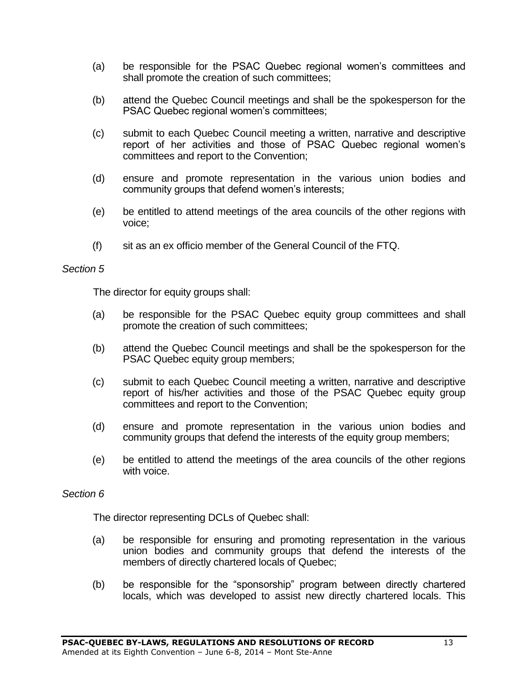- (a) be responsible for the PSAC Quebec regional women's committees and shall promote the creation of such committees;
- (b) attend the Quebec Council meetings and shall be the spokesperson for the PSAC Quebec regional women's committees;
- (c) submit to each Quebec Council meeting a written, narrative and descriptive report of her activities and those of PSAC Quebec regional women's committees and report to the Convention;
- (d) ensure and promote representation in the various union bodies and community groups that defend women's interests;
- (e) be entitled to attend meetings of the area councils of the other regions with voice;
- (f) sit as an ex officio member of the General Council of the FTQ.

#### *Section 5*

The director for equity groups shall:

- (a) be responsible for the PSAC Quebec equity group committees and shall promote the creation of such committees;
- (b) attend the Quebec Council meetings and shall be the spokesperson for the PSAC Quebec equity group members;
- (c) submit to each Quebec Council meeting a written, narrative and descriptive report of his/her activities and those of the PSAC Quebec equity group committees and report to the Convention;
- (d) ensure and promote representation in the various union bodies and community groups that defend the interests of the equity group members;
- (e) be entitled to attend the meetings of the area councils of the other regions with voice.

#### *Section 6*

The director representing DCLs of Quebec shall:

- (a) be responsible for ensuring and promoting representation in the various union bodies and community groups that defend the interests of the members of directly chartered locals of Quebec;
- (b) be responsible for the "sponsorship" program between directly chartered locals, which was developed to assist new directly chartered locals. This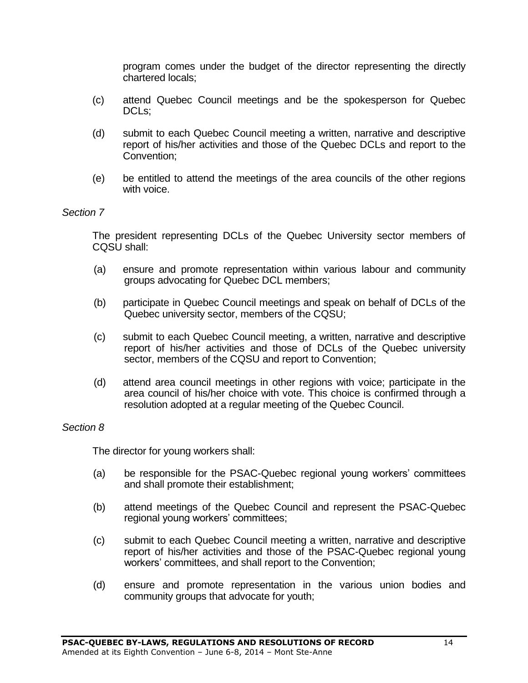program comes under the budget of the director representing the directly chartered locals;

- (c) attend Quebec Council meetings and be the spokesperson for Quebec DCL<sub>s</sub>:
- (d) submit to each Quebec Council meeting a written, narrative and descriptive report of his/her activities and those of the Quebec DCLs and report to the Convention;
- (e) be entitled to attend the meetings of the area councils of the other regions with voice.

#### *Section 7*

The president representing DCLs of the Quebec University sector members of CQSU shall:

- (a) ensure and promote representation within various labour and community groups advocating for Quebec DCL members;
- (b) participate in Quebec Council meetings and speak on behalf of DCLs of the Quebec university sector, members of the CQSU;
- (c) submit to each Quebec Council meeting, a written, narrative and descriptive report of his/her activities and those of DCLs of the Quebec university sector, members of the CQSU and report to Convention;
- (d) attend area council meetings in other regions with voice; participate in the area council of his/her choice with vote. This choice is confirmed through a resolution adopted at a regular meeting of the Quebec Council.

#### *Section 8*

The director for young workers shall:

- (a) be responsible for the PSAC-Quebec regional young workers' committees and shall promote their establishment;
- (b) attend meetings of the Quebec Council and represent the PSAC-Quebec regional young workers' committees;
- (c) submit to each Quebec Council meeting a written, narrative and descriptive report of his/her activities and those of the PSAC-Quebec regional young workers' committees, and shall report to the Convention;
- (d) ensure and promote representation in the various union bodies and community groups that advocate for youth;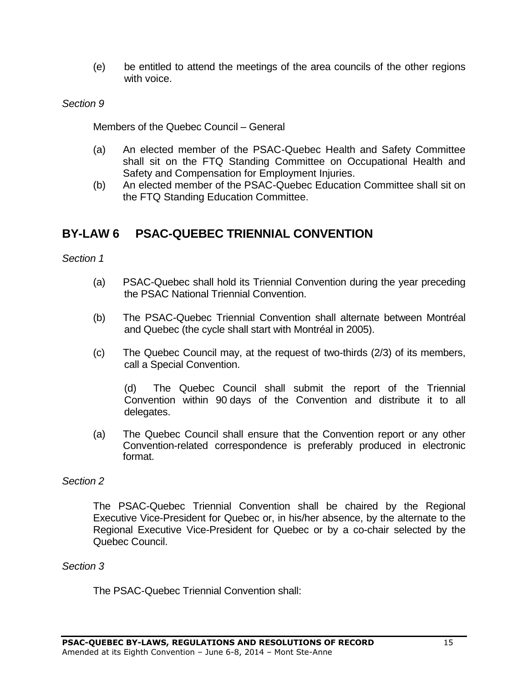(e) be entitled to attend the meetings of the area councils of the other regions with voice.

### *Section 9*

Members of the Quebec Council – General

- (a) An elected member of the PSAC-Quebec Health and Safety Committee shall sit on the FTQ Standing Committee on Occupational Health and Safety and Compensation for Employment Injuries.
- (b) An elected member of the PSAC-Quebec Education Committee shall sit on the FTQ Standing Education Committee.

# <span id="page-14-0"></span>**BY-LAW 6 PSAC-QUEBEC TRIENNIAL CONVENTION**

*Section 1*

- (a) PSAC-Quebec shall hold its Triennial Convention during the year preceding the PSAC National Triennial Convention.
- (b) The PSAC-Quebec Triennial Convention shall alternate between Montréal and Quebec (the cycle shall start with Montréal in 2005).
- (c) The Quebec Council may, at the request of two-thirds (2/3) of its members, call a Special Convention.

(d) The Quebec Council shall submit the report of the Triennial Convention within 90 days of the Convention and distribute it to all delegates.

(a) The Quebec Council shall ensure that the Convention report or any other Convention-related correspondence is preferably produced in electronic format.

### *Section 2*

The PSAC-Quebec Triennial Convention shall be chaired by the Regional Executive Vice-President for Quebec or, in his/her absence, by the alternate to the Regional Executive Vice-President for Quebec or by a co-chair selected by the Quebec Council.

#### *Section 3*

The PSAC-Quebec Triennial Convention shall: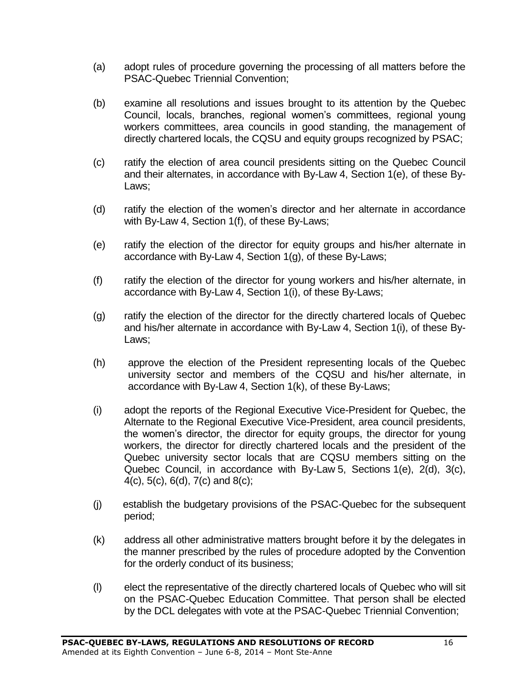- (a) adopt rules of procedure governing the processing of all matters before the PSAC-Quebec Triennial Convention;
- (b) examine all resolutions and issues brought to its attention by the Quebec Council, locals, branches, regional women's committees, regional young workers committees, area councils in good standing, the management of directly chartered locals, the CQSU and equity groups recognized by PSAC;
- (c) ratify the election of area council presidents sitting on the Quebec Council and their alternates, in accordance with By-Law 4, Section 1(e), of these By-Laws;
- (d) ratify the election of the women's director and her alternate in accordance with By-Law 4, Section 1(f), of these By-Laws;
- (e) ratify the election of the director for equity groups and his/her alternate in accordance with By-Law 4, Section 1(g), of these By-Laws;
- (f) ratify the election of the director for young workers and his/her alternate, in accordance with By-Law 4, Section 1(i), of these By-Laws;
- (g) ratify the election of the director for the directly chartered locals of Quebec and his/her alternate in accordance with By-Law 4, Section 1(i), of these By-Laws;
- (h) approve the election of the President representing locals of the Quebec university sector and members of the CQSU and his/her alternate, in accordance with By-Law 4, Section 1(k), of these By-Laws;
- (i) adopt the reports of the Regional Executive Vice-President for Quebec, the Alternate to the Regional Executive Vice-President, area council presidents, the women's director, the director for equity groups, the director for young workers, the director for directly chartered locals and the president of the Quebec university sector locals that are CQSU members sitting on the Quebec Council, in accordance with By-Law 5, Sections 1(e), 2(d), 3(c), 4(c), 5(c), 6(d), 7(c) and 8(c);
- (j) establish the budgetary provisions of the PSAC-Quebec for the subsequent period;
- (k) address all other administrative matters brought before it by the delegates in the manner prescribed by the rules of procedure adopted by the Convention for the orderly conduct of its business;
- (l) elect the representative of the directly chartered locals of Quebec who will sit on the PSAC-Quebec Education Committee. That person shall be elected by the DCL delegates with vote at the PSAC-Quebec Triennial Convention;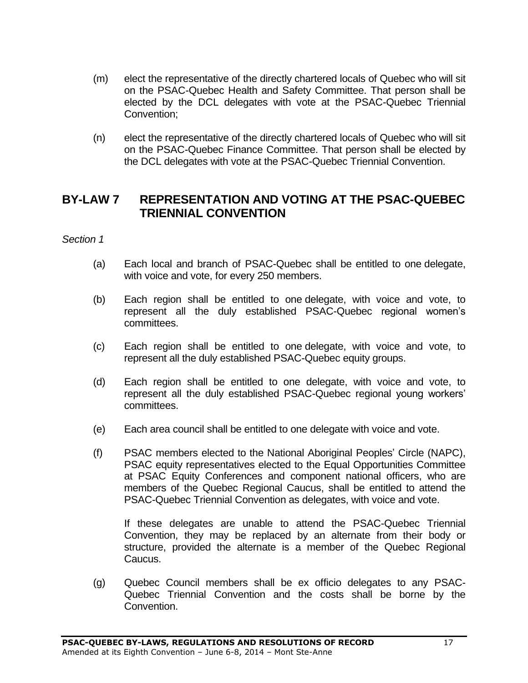- (m) elect the representative of the directly chartered locals of Quebec who will sit on the PSAC-Quebec Health and Safety Committee. That person shall be elected by the DCL delegates with vote at the PSAC-Quebec Triennial Convention;
- (n) elect the representative of the directly chartered locals of Quebec who will sit on the PSAC-Quebec Finance Committee. That person shall be elected by the DCL delegates with vote at the PSAC-Quebec Triennial Convention.

# <span id="page-16-0"></span>**BY-LAW 7 REPRESENTATION AND VOTING AT THE PSAC-QUEBEC TRIENNIAL CONVENTION**

#### *Section 1*

- (a) Each local and branch of PSAC-Quebec shall be entitled to one delegate, with voice and vote, for every 250 members.
- (b) Each region shall be entitled to one delegate, with voice and vote, to represent all the duly established PSAC-Quebec regional women's committees.
- (c) Each region shall be entitled to one delegate, with voice and vote, to represent all the duly established PSAC-Quebec equity groups.
- (d) Each region shall be entitled to one delegate, with voice and vote, to represent all the duly established PSAC-Quebec regional young workers' committees.
- (e) Each area council shall be entitled to one delegate with voice and vote.
- (f) PSAC members elected to the National Aboriginal Peoples' Circle (NAPC), PSAC equity representatives elected to the Equal Opportunities Committee at PSAC Equity Conferences and component national officers, who are members of the Quebec Regional Caucus, shall be entitled to attend the PSAC-Quebec Triennial Convention as delegates, with voice and vote.

If these delegates are unable to attend the PSAC-Quebec Triennial Convention, they may be replaced by an alternate from their body or structure, provided the alternate is a member of the Quebec Regional Caucus.

(g) Quebec Council members shall be ex officio delegates to any PSAC-Quebec Triennial Convention and the costs shall be borne by the Convention.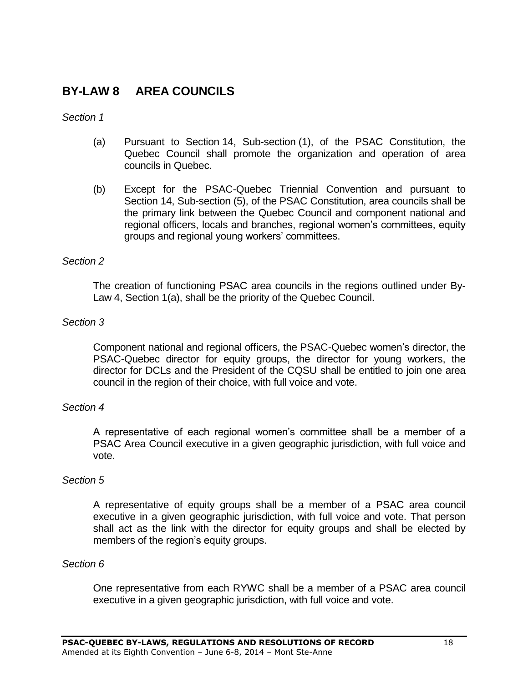# <span id="page-17-0"></span>**BY-LAW 8 AREA COUNCILS**

#### *Section 1*

- (a) Pursuant to Section 14, Sub-section (1), of the PSAC Constitution, the Quebec Council shall promote the organization and operation of area councils in Quebec.
- (b) Except for the PSAC-Quebec Triennial Convention and pursuant to Section 14, Sub-section (5), of the PSAC Constitution, area councils shall be the primary link between the Quebec Council and component national and regional officers, locals and branches, regional women's committees, equity groups and regional young workers' committees.

### *Section 2*

The creation of functioning PSAC area councils in the regions outlined under By-Law 4, Section 1(a), shall be the priority of the Quebec Council.

### *Section 3*

Component national and regional officers, the PSAC-Quebec women's director, the PSAC-Quebec director for equity groups, the director for young workers, the director for DCLs and the President of the CQSU shall be entitled to join one area council in the region of their choice, with full voice and vote.

### *Section 4*

A representative of each regional women's committee shall be a member of a PSAC Area Council executive in a given geographic jurisdiction, with full voice and vote.

#### *Section 5*

A representative of equity groups shall be a member of a PSAC area council executive in a given geographic jurisdiction, with full voice and vote. That person shall act as the link with the director for equity groups and shall be elected by members of the region's equity groups.

#### *Section 6*

One representative from each RYWC shall be a member of a PSAC area council executive in a given geographic jurisdiction, with full voice and vote.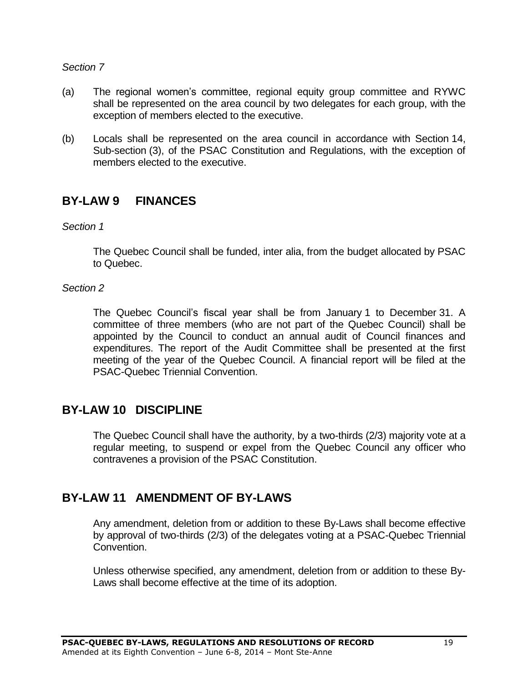### *Section 7*

- (a) The regional women's committee, regional equity group committee and RYWC shall be represented on the area council by two delegates for each group, with the exception of members elected to the executive.
- (b) Locals shall be represented on the area council in accordance with Section 14, Sub-section (3), of the PSAC Constitution and Regulations, with the exception of members elected to the executive.

# <span id="page-18-0"></span>**BY-LAW 9 FINANCES**

*Section 1*

The Quebec Council shall be funded, inter alia, from the budget allocated by PSAC to Quebec.

### *Section 2*

The Quebec Council's fiscal year shall be from January 1 to December 31. A committee of three members (who are not part of the Quebec Council) shall be appointed by the Council to conduct an annual audit of Council finances and expenditures. The report of the Audit Committee shall be presented at the first meeting of the year of the Quebec Council. A financial report will be filed at the PSAC-Quebec Triennial Convention.

# <span id="page-18-1"></span>**BY-LAW 10 DISCIPLINE**

The Quebec Council shall have the authority, by a two-thirds (2/3) majority vote at a regular meeting, to suspend or expel from the Quebec Council any officer who contravenes a provision of the PSAC Constitution.

# <span id="page-18-2"></span>**BY-LAW 11 AMENDMENT OF BY-LAWS**

Any amendment, deletion from or addition to these By-Laws shall become effective by approval of two-thirds (2/3) of the delegates voting at a PSAC-Quebec Triennial Convention.

Unless otherwise specified, any amendment, deletion from or addition to these By-Laws shall become effective at the time of its adoption.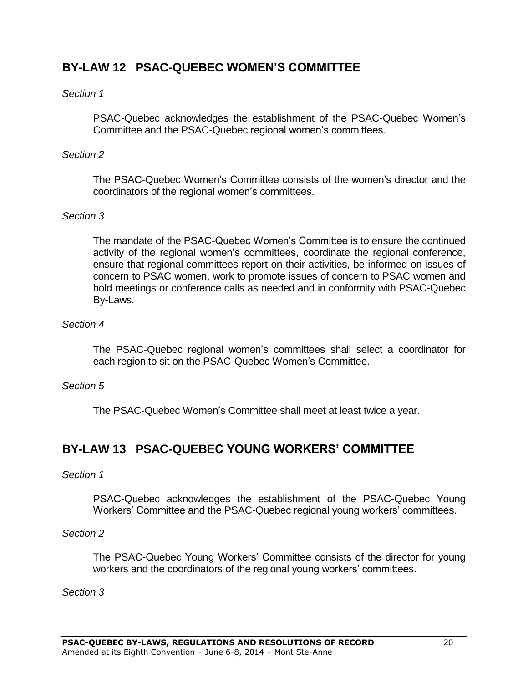# <span id="page-19-0"></span>**BY-LAW 12 PSAC-QUEBEC WOMEN'S COMMITTEE**

### *Section 1*

PSAC-Quebec acknowledges the establishment of the PSAC-Quebec Women's Committee and the PSAC-Quebec regional women's committees.

### *Section 2*

The PSAC-Quebec Women's Committee consists of the women's director and the coordinators of the regional women's committees.

### *Section 3*

The mandate of the PSAC-Quebec Women's Committee is to ensure the continued activity of the regional women's committees, coordinate the regional conference, ensure that regional committees report on their activities, be informed on issues of concern to PSAC women, work to promote issues of concern to PSAC women and hold meetings or conference calls as needed and in conformity with PSAC-Quebec By-Laws.

### *Section 4*

The PSAC-Quebec regional women's committees shall select a coordinator for each region to sit on the PSAC-Quebec Women's Committee.

#### *Section 5*

The PSAC-Quebec Women's Committee shall meet at least twice a year.

# <span id="page-19-1"></span>**BY-LAW 13 PSAC-QUEBEC YOUNG WORKERS' COMMITTEE**

#### *Section 1*

PSAC-Quebec acknowledges the establishment of the PSAC-Quebec Young Workers' Committee and the PSAC-Quebec regional young workers' committees.

#### *Section 2*

The PSAC-Quebec Young Workers' Committee consists of the director for young workers and the coordinators of the regional young workers' committees.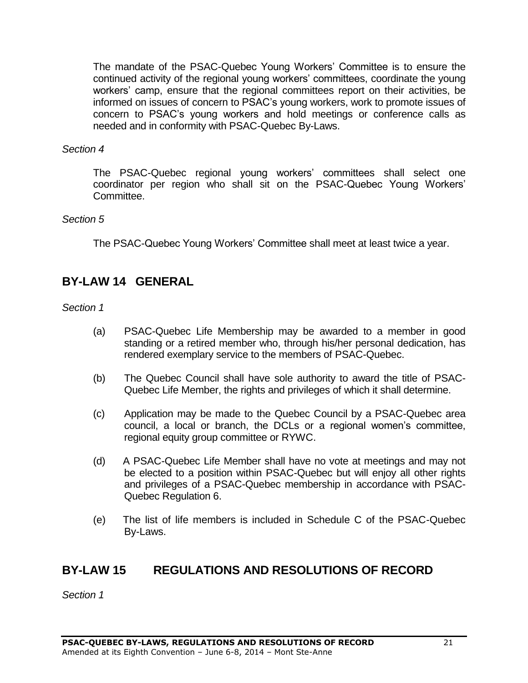The mandate of the PSAC-Quebec Young Workers' Committee is to ensure the continued activity of the regional young workers' committees, coordinate the young workers' camp, ensure that the regional committees report on their activities, be informed on issues of concern to PSAC's young workers, work to promote issues of concern to PSAC's young workers and hold meetings or conference calls as needed and in conformity with PSAC-Quebec By-Laws.

### *Section 4*

The PSAC-Quebec regional young workers' committees shall select one coordinator per region who shall sit on the PSAC-Quebec Young Workers' Committee.

### *Section 5*

The PSAC-Quebec Young Workers' Committee shall meet at least twice a year.

# <span id="page-20-0"></span>**BY-LAW 14 GENERAL**

*Section 1*

- (a) PSAC-Quebec Life Membership may be awarded to a member in good standing or a retired member who, through his/her personal dedication, has rendered exemplary service to the members of PSAC-Quebec.
- (b) The Quebec Council shall have sole authority to award the title of PSAC-Quebec Life Member, the rights and privileges of which it shall determine.
- (c) Application may be made to the Quebec Council by a PSAC-Quebec area council, a local or branch, the DCLs or a regional women's committee, regional equity group committee or RYWC.
- (d) A PSAC-Quebec Life Member shall have no vote at meetings and may not be elected to a position within PSAC-Quebec but will enjoy all other rights and privileges of a PSAC-Quebec membership in accordance with PSAC-Quebec Regulation 6.
- (e) The list of life members is included in Schedule C of the PSAC-Quebec By-Laws.

# <span id="page-20-1"></span>**BY-LAW 15 REGULATIONS AND RESOLUTIONS OF RECORD**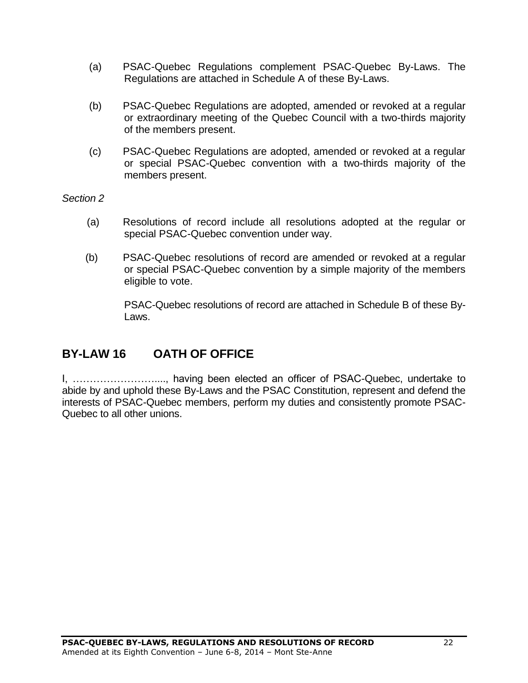- (a) PSAC-Quebec Regulations complement PSAC-Quebec By-Laws. The Regulations are attached in Schedule A of these By-Laws.
- (b) PSAC-Quebec Regulations are adopted, amended or revoked at a regular or extraordinary meeting of the Quebec Council with a two-thirds majority of the members present.
- (c) PSAC-Quebec Regulations are adopted, amended or revoked at a regular or special PSAC-Quebec convention with a two-thirds majority of the members present.

*Section 2*

- (a) Resolutions of record include all resolutions adopted at the regular or special PSAC-Quebec convention under way.
- (b) PSAC-Quebec resolutions of record are amended or revoked at a regular or special PSAC-Quebec convention by a simple majority of the members eligible to vote.

PSAC-Quebec resolutions of record are attached in Schedule B of these By-Laws.

# <span id="page-21-0"></span>**BY-LAW 16 OATH OF OFFICE**

I, ……………………...., having been elected an officer of PSAC-Quebec, undertake to abide by and uphold these By-Laws and the PSAC Constitution, represent and defend the interests of PSAC-Quebec members, perform my duties and consistently promote PSAC-Quebec to all other unions.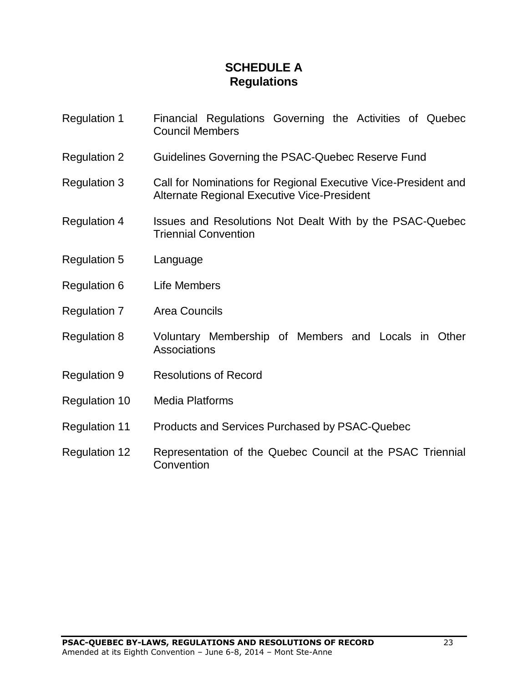# **SCHEDULE A Regulations**

- <span id="page-22-1"></span><span id="page-22-0"></span>Regulation 1 Financial Regulations Governing the Activities of Quebec Council Members
- Regulation 2 Guidelines Governing the PSAC-Quebec Reserve Fund
- Regulation 3 Call for Nominations for Regional Executive Vice-President and Alternate Regional Executive Vice-President
- Regulation 4 Issues and Resolutions Not Dealt With by the PSAC-Quebec Triennial Convention
- Regulation 5 Language
- Regulation 6 Life Members
- Regulation 7 Area Councils
- Regulation 8 Voluntary Membership of Members and Locals in Other Associations
- Regulation 9 Resolutions of Record
- Regulation 10 Media Platforms
- Regulation 11 Products and Services Purchased by PSAC-Quebec
- Regulation 12 Representation of the Quebec Council at the PSAC Triennial **Convention**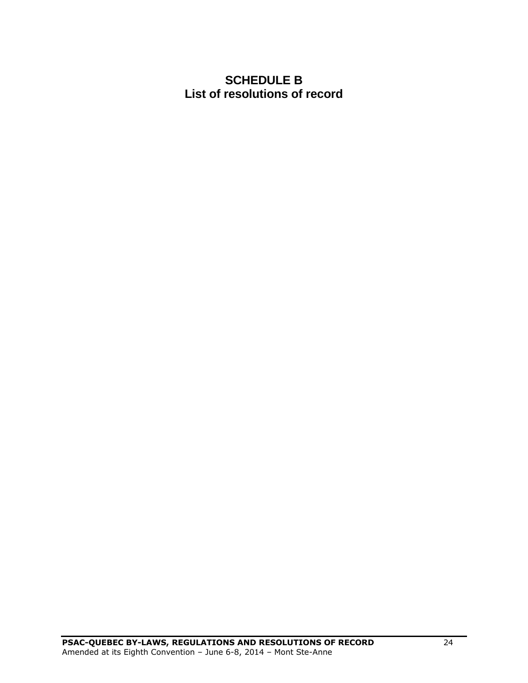# <span id="page-23-1"></span><span id="page-23-0"></span>**SCHEDULE B List of resolutions of record**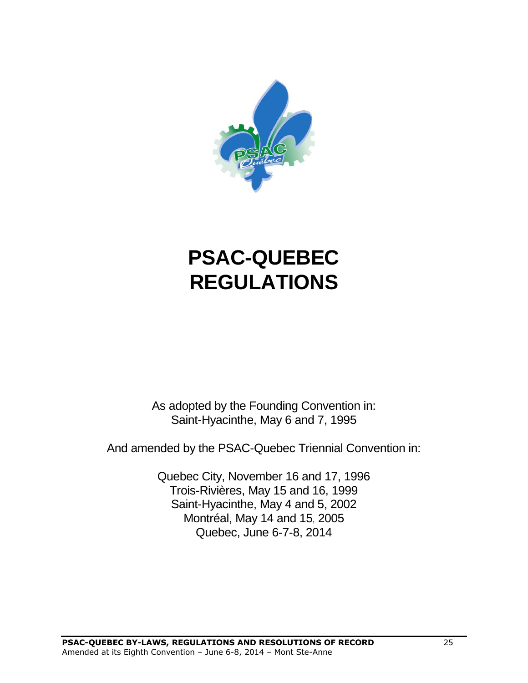

# **PSAC-QUEBEC REGULATIONS**

As adopted by the Founding Convention in: Saint-Hyacinthe, May 6 and 7, 1995

And amended by the PSAC-Quebec Triennial Convention in:

Quebec City, November 16 and 17, 1996 Trois-Rivières, May 15 and 16, 1999 Saint-Hyacinthe, May 4 and 5, 2002 Montréal, May 14 and 15, 2005 Quebec, June 6-7-8, 2014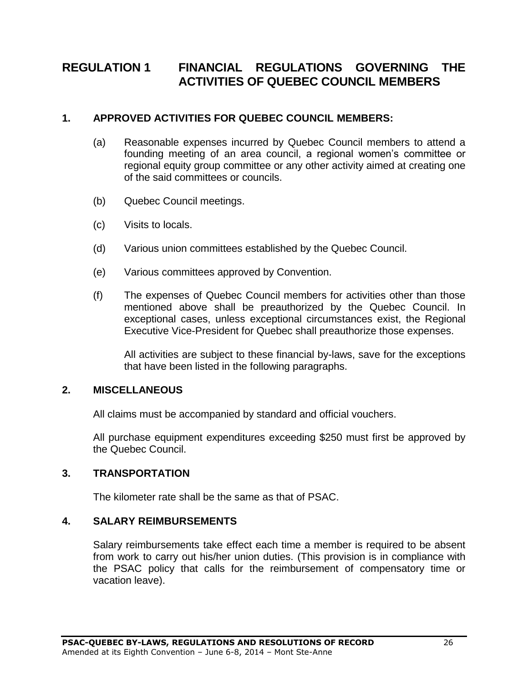# <span id="page-25-0"></span>**REGULATION 1 FINANCIAL REGULATIONS GOVERNING THE ACTIVITIES OF QUEBEC COUNCIL MEMBERS**

### **1. APPROVED ACTIVITIES FOR QUEBEC COUNCIL MEMBERS:**

- (a) Reasonable expenses incurred by Quebec Council members to attend a founding meeting of an area council, a regional women's committee or regional equity group committee or any other activity aimed at creating one of the said committees or councils.
- (b) Quebec Council meetings.
- (c) Visits to locals.
- (d) Various union committees established by the Quebec Council.
- (e) Various committees approved by Convention.
- (f) The expenses of Quebec Council members for activities other than those mentioned above shall be preauthorized by the Quebec Council. In exceptional cases, unless exceptional circumstances exist, the Regional Executive Vice-President for Quebec shall preauthorize those expenses.

All activities are subject to these financial by-laws, save for the exceptions that have been listed in the following paragraphs.

### **2. MISCELLANEOUS**

All claims must be accompanied by standard and official vouchers.

All purchase equipment expenditures exceeding \$250 must first be approved by the Quebec Council.

#### **3. TRANSPORTATION**

The kilometer rate shall be the same as that of PSAC.

#### **4. SALARY REIMBURSEMENTS**

Salary reimbursements take effect each time a member is required to be absent from work to carry out his/her union duties. (This provision is in compliance with the PSAC policy that calls for the reimbursement of compensatory time or vacation leave).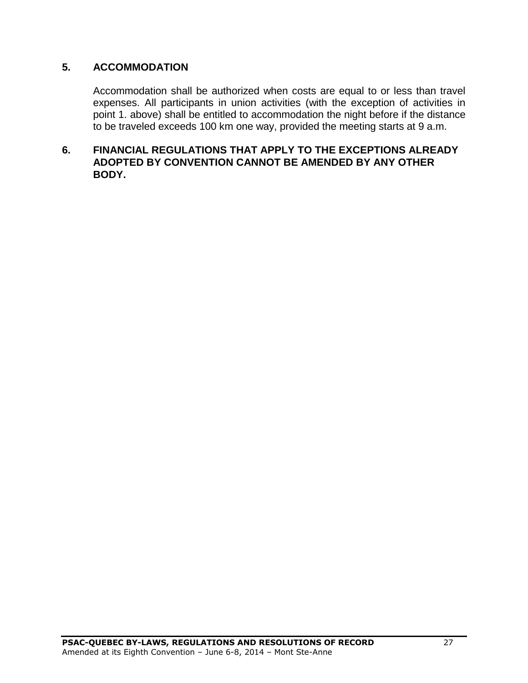### **5. ACCOMMODATION**

Accommodation shall be authorized when costs are equal to or less than travel expenses. All participants in union activities (with the exception of activities in point 1. above) shall be entitled to accommodation the night before if the distance to be traveled exceeds 100 km one way, provided the meeting starts at 9 a.m.

### **6. FINANCIAL REGULATIONS THAT APPLY TO THE EXCEPTIONS ALREADY ADOPTED BY CONVENTION CANNOT BE AMENDED BY ANY OTHER BODY.**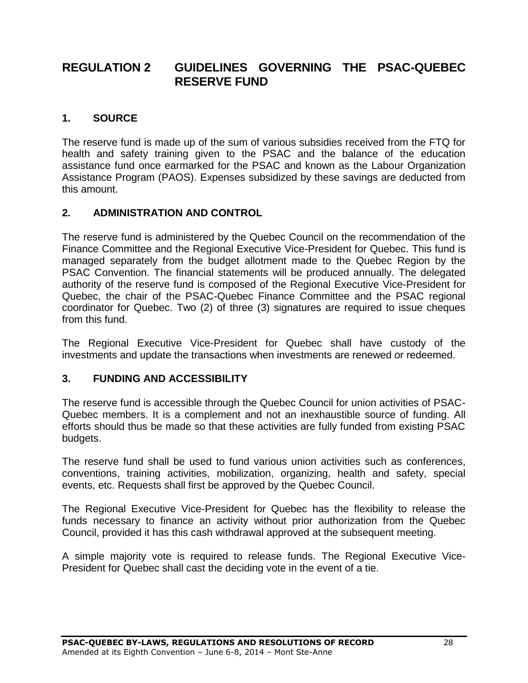# <span id="page-27-0"></span>**REGULATION 2 GUIDELINES GOVERNING THE PSAC-QUEBEC RESERVE FUND**

### **1. SOURCE**

The reserve fund is made up of the sum of various subsidies received from the FTQ for health and safety training given to the PSAC and the balance of the education assistance fund once earmarked for the PSAC and known as the Labour Organization Assistance Program (PAOS). Expenses subsidized by these savings are deducted from this amount.

### **2. ADMINISTRATION AND CONTROL**

The reserve fund is administered by the Quebec Council on the recommendation of the Finance Committee and the Regional Executive Vice-President for Quebec. This fund is managed separately from the budget allotment made to the Quebec Region by the PSAC Convention. The financial statements will be produced annually. The delegated authority of the reserve fund is composed of the Regional Executive Vice-President for Quebec, the chair of the PSAC-Quebec Finance Committee and the PSAC regional coordinator for Quebec. Two (2) of three (3) signatures are required to issue cheques from this fund.

The Regional Executive Vice-President for Quebec shall have custody of the investments and update the transactions when investments are renewed or redeemed.

### **3. FUNDING AND ACCESSIBILITY**

The reserve fund is accessible through the Quebec Council for union activities of PSAC-Quebec members. It is a complement and not an inexhaustible source of funding. All efforts should thus be made so that these activities are fully funded from existing PSAC budgets.

The reserve fund shall be used to fund various union activities such as conferences, conventions, training activities, mobilization, organizing, health and safety, special events, etc. Requests shall first be approved by the Quebec Council.

The Regional Executive Vice-President for Quebec has the flexibility to release the funds necessary to finance an activity without prior authorization from the Quebec Council, provided it has this cash withdrawal approved at the subsequent meeting.

A simple majority vote is required to release funds. The Regional Executive Vice-President for Quebec shall cast the deciding vote in the event of a tie.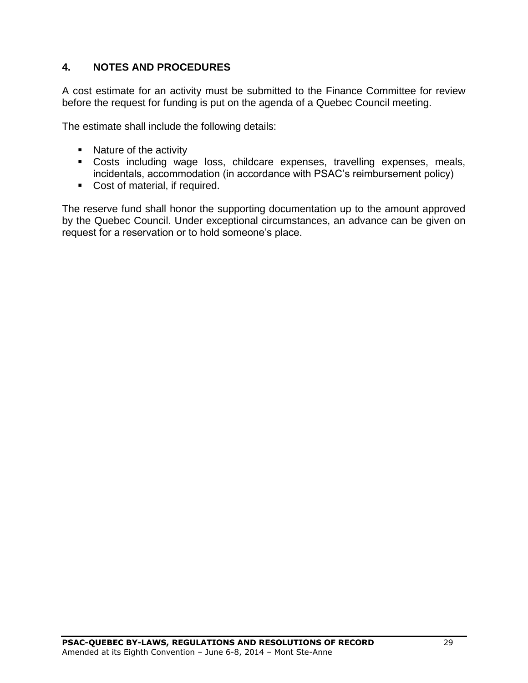### **4. NOTES AND PROCEDURES**

A cost estimate for an activity must be submitted to the Finance Committee for review before the request for funding is put on the agenda of a Quebec Council meeting.

The estimate shall include the following details:

- Nature of the activity
- Costs including wage loss, childcare expenses, travelling expenses, meals, incidentals, accommodation (in accordance with PSAC's reimbursement policy)
- Cost of material, if required.

The reserve fund shall honor the supporting documentation up to the amount approved by the Quebec Council. Under exceptional circumstances, an advance can be given on request for a reservation or to hold someone's place.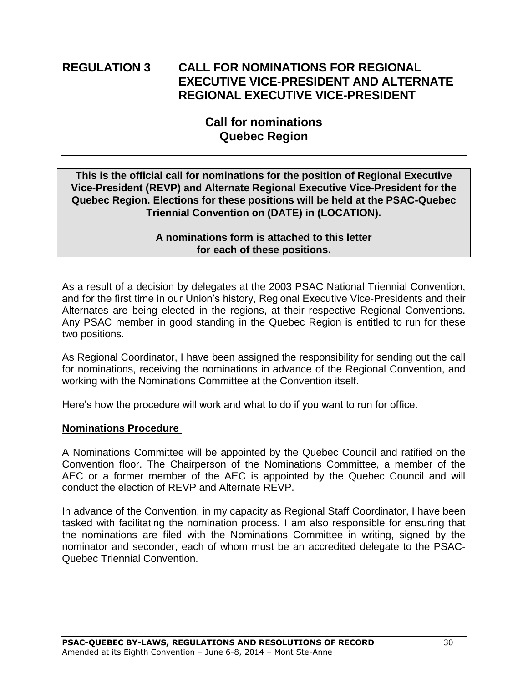# <span id="page-29-0"></span>**REGULATION 3 CALL FOR NOMINATIONS FOR REGIONAL EXECUTIVE VICE-PRESIDENT AND ALTERNATE REGIONAL EXECUTIVE VICE-PRESIDENT**

# **Call for nominations Quebec Region**

**This is the official call for nominations for the position of Regional Executive Vice-President (REVP) and Alternate Regional Executive Vice-President for the Quebec Region. Elections for these positions will be held at the PSAC-Quebec Triennial Convention on (DATE) in (LOCATION).**

> **A nominations form is attached to this letter for each of these positions.**

As a result of a decision by delegates at the 2003 PSAC National Triennial Convention, and for the first time in our Union's history, Regional Executive Vice-Presidents and their Alternates are being elected in the regions, at their respective Regional Conventions. Any PSAC member in good standing in the Quebec Region is entitled to run for these two positions.

As Regional Coordinator, I have been assigned the responsibility for sending out the call for nominations, receiving the nominations in advance of the Regional Convention, and working with the Nominations Committee at the Convention itself.

Here's how the procedure will work and what to do if you want to run for office.

### **Nominations Procedure**

A Nominations Committee will be appointed by the Quebec Council and ratified on the Convention floor. The Chairperson of the Nominations Committee, a member of the AEC or a former member of the AEC is appointed by the Quebec Council and will conduct the election of REVP and Alternate REVP.

In advance of the Convention, in my capacity as Regional Staff Coordinator, I have been tasked with facilitating the nomination process. I am also responsible for ensuring that the nominations are filed with the Nominations Committee in writing, signed by the nominator and seconder, each of whom must be an accredited delegate to the PSAC-Quebec Triennial Convention.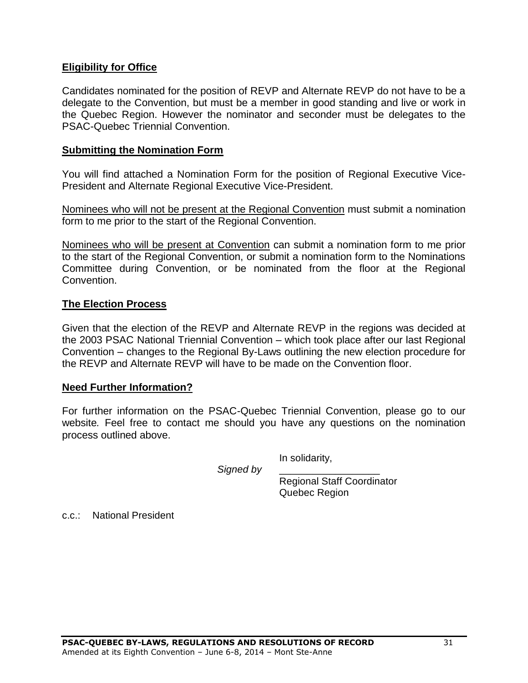### **Eligibility for Office**

Candidates nominated for the position of REVP and Alternate REVP do not have to be a delegate to the Convention, but must be a member in good standing and live or work in the Quebec Region. However the nominator and seconder must be delegates to the PSAC-Quebec Triennial Convention.

### **Submitting the Nomination Form**

You will find attached a Nomination Form for the position of Regional Executive Vice-President and Alternate Regional Executive Vice-President.

Nominees who will not be present at the Regional Convention must submit a nomination form to me prior to the start of the Regional Convention.

Nominees who will be present at Convention can submit a nomination form to me prior to the start of the Regional Convention, or submit a nomination form to the Nominations Committee during Convention, or be nominated from the floor at the Regional Convention.

### **The Election Process**

Given that the election of the REVP and Alternate REVP in the regions was decided at the 2003 PSAC National Triennial Convention – which took place after our last Regional Convention – changes to the Regional By-Laws outlining the new election procedure for the REVP and Alternate REVP will have to be made on the Convention floor.

### **Need Further Information?**

For further information on the PSAC-Quebec Triennial Convention, please go to our website*.* Feel free to contact me should you have any questions on the nomination process outlined above.

Signed by

In solidarity,

Regional Staff Coordinator Quebec Region

c.c.: National President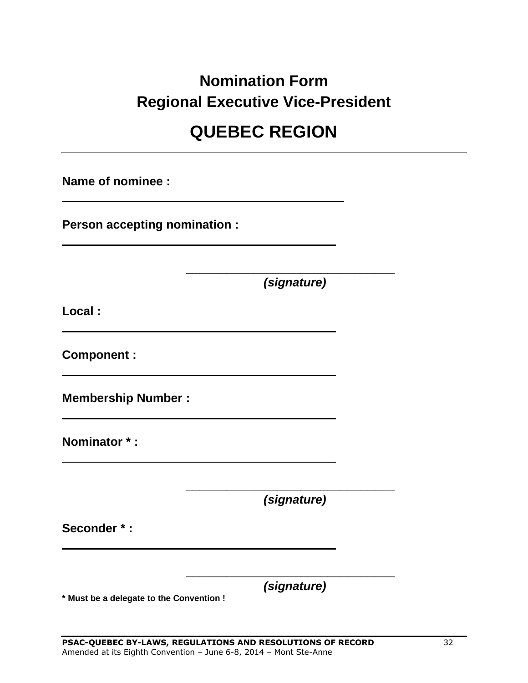# **Nomination Form Regional Executive Vice-President**

# **QUEBEC REGION**

**Name of nominee :**

**Person accepting nomination :**

*(signature)*

**\_\_\_\_\_\_\_\_\_\_\_\_\_\_\_\_\_\_\_\_\_\_\_\_\_\_\_\_\_\_\_**

**Local :**

**Component :**

**Membership Number :**

**Nominator \* :**

*(signature)*

**\_\_\_\_\_\_\_\_\_\_\_\_\_\_\_\_\_\_\_\_\_\_\_\_\_\_\_\_\_\_\_**

**Seconder \* :**

*(signature)*

**\_\_\_\_\_\_\_\_\_\_\_\_\_\_\_\_\_\_\_\_\_\_\_\_\_\_\_\_\_\_\_**

**\* Must be a delegate to the Convention !**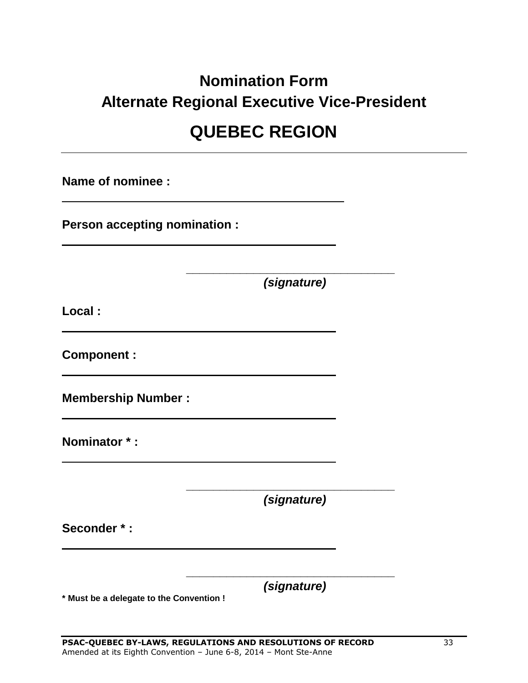# **Nomination Form Alternate Regional Executive Vice-President QUEBEC REGION**

**Name of nominee :**

**Person accepting nomination :**

**\_\_\_\_\_\_\_\_\_\_\_\_\_\_\_\_\_\_\_\_\_\_\_\_\_\_\_\_\_\_\_** *(signature)*

**Local :**

**Component :**

**Membership Number :**

**Nominator \* :**

*(signature)*

**\_\_\_\_\_\_\_\_\_\_\_\_\_\_\_\_\_\_\_\_\_\_\_\_\_\_\_\_\_\_\_**

**Seconder \* :**

*(signature)*

**\_\_\_\_\_\_\_\_\_\_\_\_\_\_\_\_\_\_\_\_\_\_\_\_\_\_\_\_\_\_\_**

**\* Must be a delegate to the Convention !**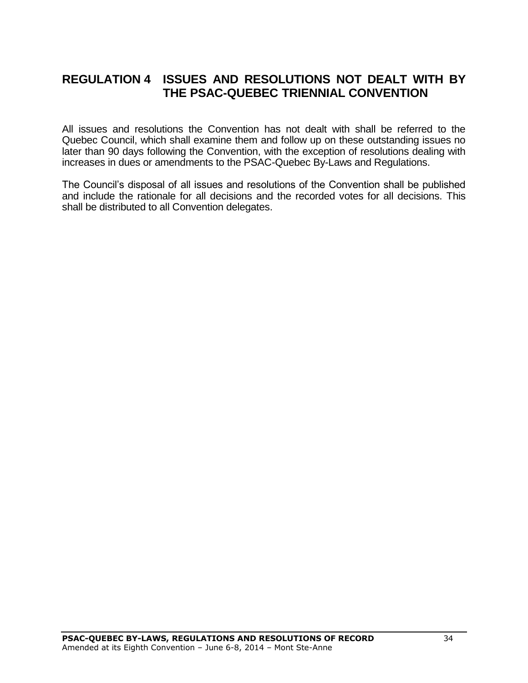# <span id="page-33-0"></span>**REGULATION 4 ISSUES AND RESOLUTIONS NOT DEALT WITH BY THE PSAC-QUEBEC TRIENNIAL CONVENTION**

All issues and resolutions the Convention has not dealt with shall be referred to the Quebec Council, which shall examine them and follow up on these outstanding issues no later than 90 days following the Convention, with the exception of resolutions dealing with increases in dues or amendments to the PSAC-Quebec By-Laws and Regulations.

The Council's disposal of all issues and resolutions of the Convention shall be published and include the rationale for all decisions and the recorded votes for all decisions. This shall be distributed to all Convention delegates.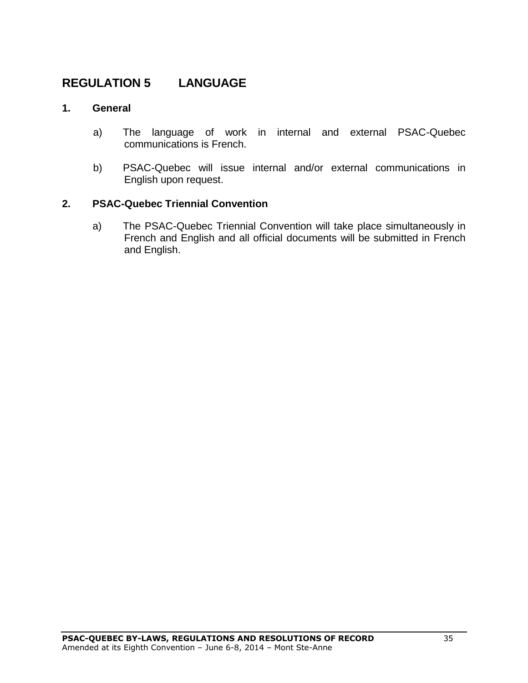# <span id="page-34-0"></span>**REGULATION 5 LANGUAGE**

### **1. General**

- a) The language of work in internal and external PSAC-Quebec communications is French.
- b) PSAC-Quebec will issue internal and/or external communications in English upon request.

### **2. PSAC-Quebec Triennial Convention**

a) The PSAC-Quebec Triennial Convention will take place simultaneously in French and English and all official documents will be submitted in French and English.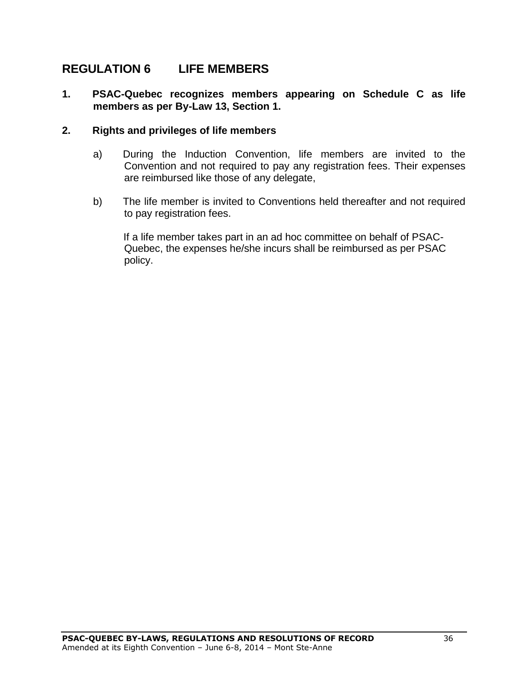# <span id="page-35-0"></span>**REGULATION 6 LIFE MEMBERS**

### **1. PSAC-Quebec recognizes members appearing on Schedule C as life members as per By-Law 13, Section 1.**

### **2. Rights and privileges of life members**

- a) During the Induction Convention, life members are invited to the Convention and not required to pay any registration fees. Their expenses are reimbursed like those of any delegate,
- b) The life member is invited to Conventions held thereafter and not required to pay registration fees.

If a life member takes part in an ad hoc committee on behalf of PSAC-Quebec, the expenses he/she incurs shall be reimbursed as per PSAC policy.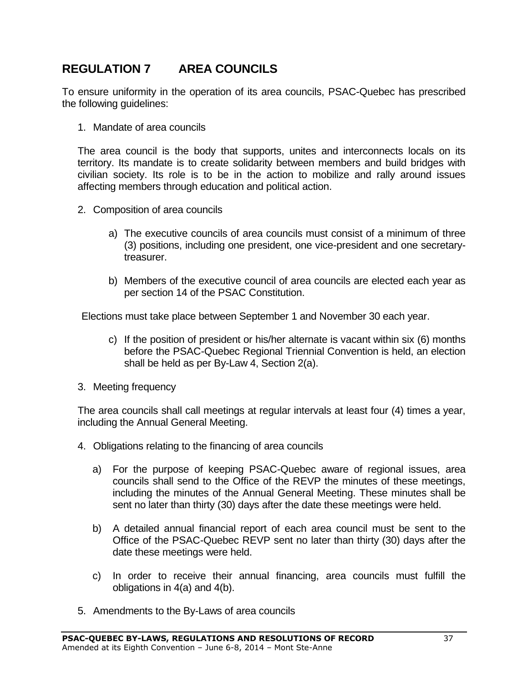# <span id="page-36-0"></span>**REGULATION 7 AREA COUNCILS**

To ensure uniformity in the operation of its area councils, PSAC-Quebec has prescribed the following guidelines:

1. Mandate of area councils

The area council is the body that supports, unites and interconnects locals on its territory. Its mandate is to create solidarity between members and build bridges with civilian society. Its role is to be in the action to mobilize and rally around issues affecting members through education and political action.

- 2. Composition of area councils
	- a) The executive councils of area councils must consist of a minimum of three (3) positions, including one president, one vice-president and one secretarytreasurer.
	- b) Members of the executive council of area councils are elected each year as per section 14 of the PSAC Constitution.

Elections must take place between September 1 and November 30 each year.

- c) If the position of president or his/her alternate is vacant within six (6) months before the PSAC-Quebec Regional Triennial Convention is held, an election shall be held as per By-Law 4, Section 2(a).
- 3. Meeting frequency

The area councils shall call meetings at regular intervals at least four (4) times a year, including the Annual General Meeting.

- 4. Obligations relating to the financing of area councils
	- a) For the purpose of keeping PSAC-Quebec aware of regional issues, area councils shall send to the Office of the REVP the minutes of these meetings, including the minutes of the Annual General Meeting. These minutes shall be sent no later than thirty (30) days after the date these meetings were held.
	- b) A detailed annual financial report of each area council must be sent to the Office of the PSAC-Quebec REVP sent no later than thirty (30) days after the date these meetings were held.
	- c) In order to receive their annual financing, area councils must fulfill the obligations in 4(a) and 4(b).
- 5. Amendments to the By-Laws of area councils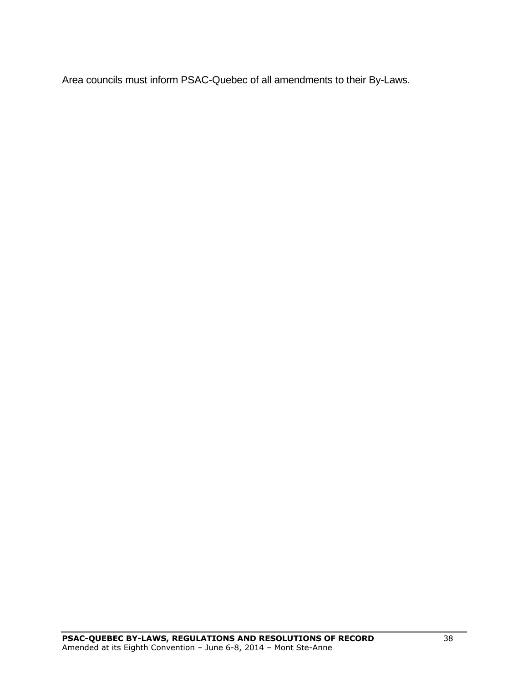Area councils must inform PSAC-Quebec of all amendments to their By-Laws.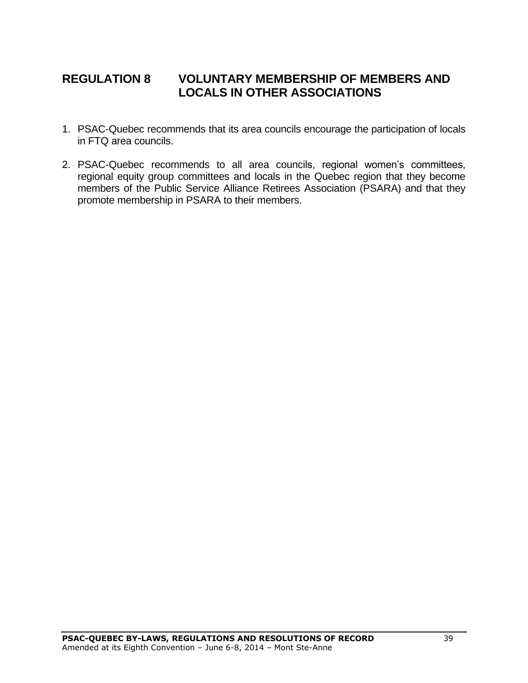# <span id="page-38-0"></span>**REGULATION 8 VOLUNTARY MEMBERSHIP OF MEMBERS AND LOCALS IN OTHER ASSOCIATIONS**

- 1. PSAC-Quebec recommends that its area councils encourage the participation of locals in FTQ area councils.
- 2. PSAC-Quebec recommends to all area councils, regional women's committees, regional equity group committees and locals in the Quebec region that they become members of the Public Service Alliance Retirees Association (PSARA) and that they promote membership in PSARA to their members.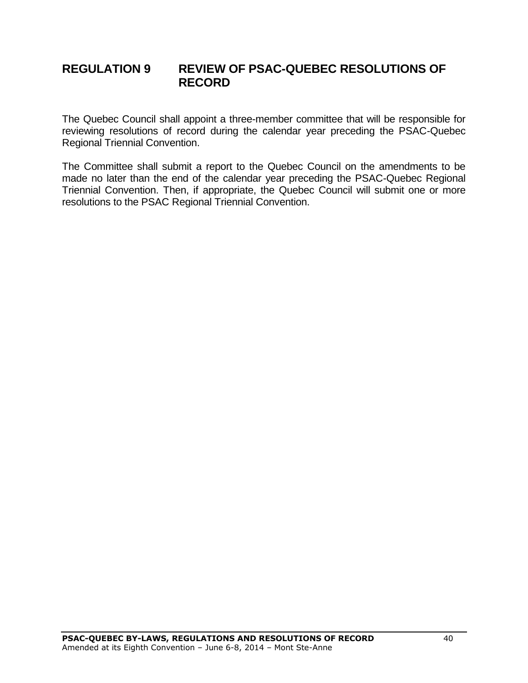# <span id="page-39-0"></span>**REGULATION 9 REVIEW OF PSAC-QUEBEC RESOLUTIONS OF RECORD**

The Quebec Council shall appoint a three-member committee that will be responsible for reviewing resolutions of record during the calendar year preceding the PSAC-Quebec Regional Triennial Convention.

The Committee shall submit a report to the Quebec Council on the amendments to be made no later than the end of the calendar year preceding the PSAC-Quebec Regional Triennial Convention. Then, if appropriate, the Quebec Council will submit one or more resolutions to the PSAC Regional Triennial Convention.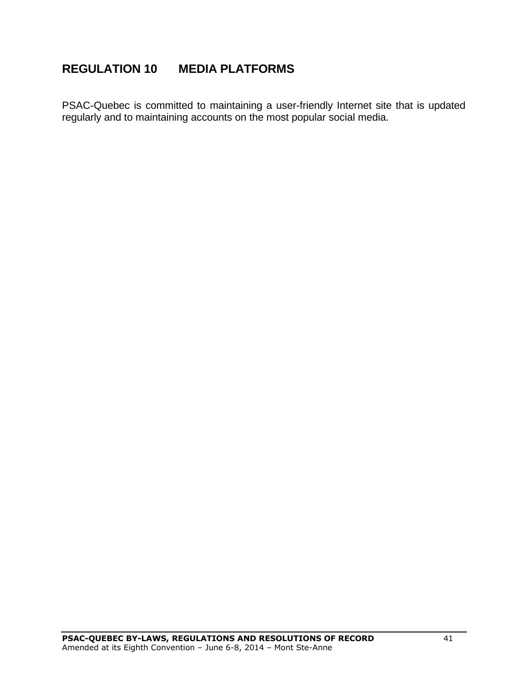# <span id="page-40-0"></span>**REGULATION 10 MEDIA PLATFORMS**

PSAC-Quebec is committed to maintaining a user-friendly Internet site that is updated regularly and to maintaining accounts on the most popular social media.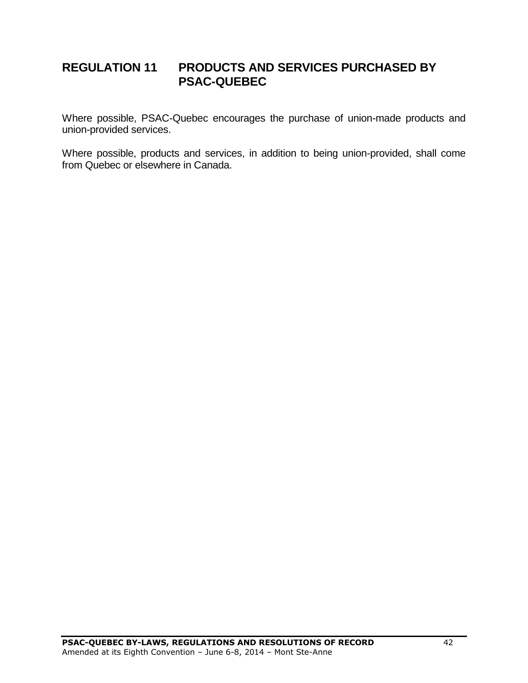# <span id="page-41-0"></span>**REGULATION 11 PRODUCTS AND SERVICES PURCHASED BY PSAC-QUEBEC**

Where possible, PSAC-Quebec encourages the purchase of union-made products and union-provided services.

Where possible, products and services, in addition to being union-provided, shall come from Quebec or elsewhere in Canada.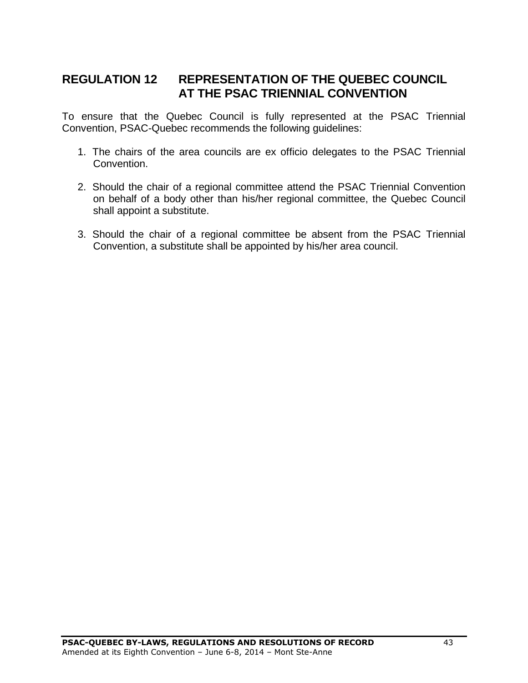# <span id="page-42-0"></span>**REGULATION 12 REPRESENTATION OF THE QUEBEC COUNCIL AT THE PSAC TRIENNIAL CONVENTION**

To ensure that the Quebec Council is fully represented at the PSAC Triennial Convention, PSAC-Quebec recommends the following guidelines:

- 1. The chairs of the area councils are ex officio delegates to the PSAC Triennial Convention.
- 2. Should the chair of a regional committee attend the PSAC Triennial Convention on behalf of a body other than his/her regional committee, the Quebec Council shall appoint a substitute.
- 3. Should the chair of a regional committee be absent from the PSAC Triennial Convention, a substitute shall be appointed by his/her area council.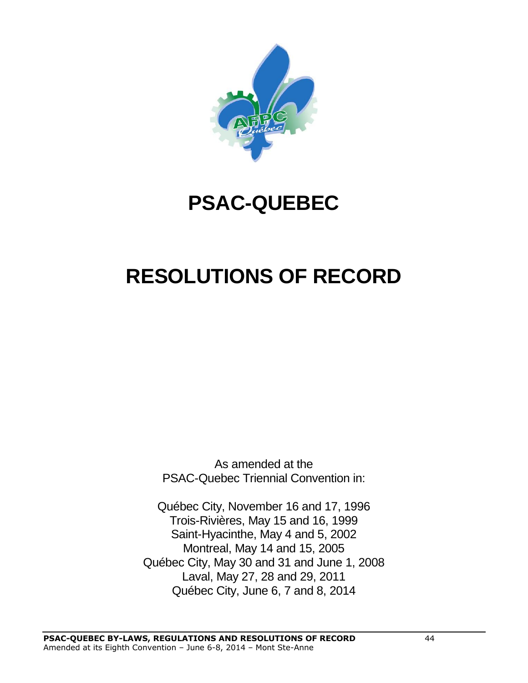

# **PSAC-QUEBEC**

# **RESOLUTIONS OF RECORD**

As amended at the PSAC-Quebec Triennial Convention in:

Québec City, November 16 and 17, 1996 Trois-Rivières, May 15 and 16, 1999 Saint-Hyacinthe, May 4 and 5, 2002 Montreal, May 14 and 15, 2005 Québec City, May 30 and 31 and June 1, 2008 Laval, May 27, 28 and 29, 2011 Québec City, June 6, 7 and 8, 2014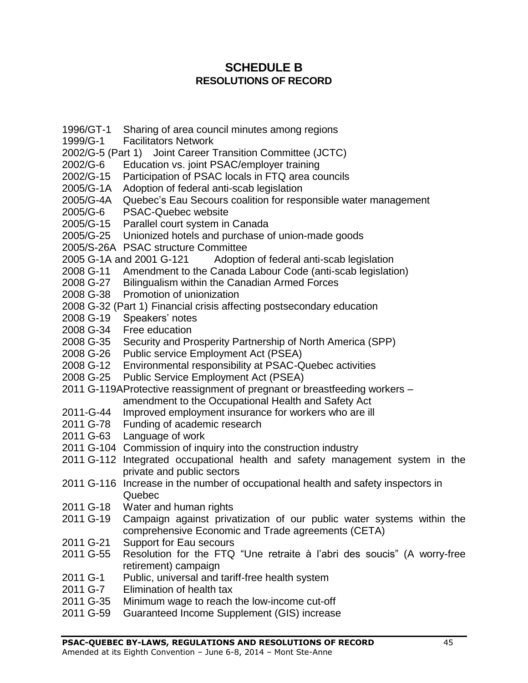# **SCHEDULE B RESOLUTIONS OF RECORD**

- <span id="page-44-0"></span>1996/GT-1 Sharing of area council minutes among regions
- 1999/G-1 Facilitators Network
- 2002/G-5 (Part 1) Joint Career Transition Committee (JCTC)
- 2002/G-6 Education vs. joint PSAC/employer training
- 2002/G-15 Participation of PSAC locals in FTQ area councils
- 2005/G-1A Adoption of federal anti-scab legislation
- 2005/G-4A Quebec's Eau Secours coalition for responsible water management
- 2005/G-6 PSAC-Quebec website
- 2005/G-15 Parallel court system in Canada
- 2005/G-25 Unionized hotels and purchase of union-made goods
- 2005/S-26A PSAC structure Committee
- 2005 G-1A and 2001 G-121 Adoption of federal anti-scab legislation
- 2008 G-11 Amendment to the Canada Labour Code (anti-scab legislation)
- 2008 G-27 Bilingualism within the Canadian Armed Forces
- 2008 G-38 Promotion of unionization
- 2008 G-32 (Part 1) Financial crisis affecting postsecondary education
- 2008 G-19 Speakers' notes
- 2008 G-34 Free education
- 2008 G-35 Security and Prosperity Partnership of North America (SPP)
- 2008 G-26 Public service Employment Act (PSEA)
- 2008 G-12 Environmental responsibility at PSAC-Quebec activities
- 2008 G-25 Public Service Employment Act (PSEA)
- 2011 G-119AProtective reassignment of pregnant or breastfeeding workers amendment to the Occupational Health and Safety Act
- 2011-G-44 Improved employment insurance for workers who are ill
- 2011 G-78 Funding of academic research
- 2011 G-63 Language of work
- 2011 G-104 Commission of inquiry into the construction industry
- 2011 G-112 Integrated occupational health and safety management system in the private and public sectors
- 2011 G-116 Increase in the number of occupational health and safety inspectors in Quebec
- 2011 G-18 Water and human rights
- 2011 G-19 Campaign against privatization of our public water systems within the comprehensive Economic and Trade agreements (CETA)
- 2011 G-21 Support for Eau secours
- 2011 G-55 Resolution for the FTQ "Une retraite à l'abri des soucis" (A worry-free retirement) campaign
- 2011 G-1 Public, universal and tariff-free health system
- 2011 G-7 Elimination of health tax
- 2011 G-35 Minimum wage to reach the low-income cut-off
- 2011 G-59 Guaranteed Income Supplement (GIS) increase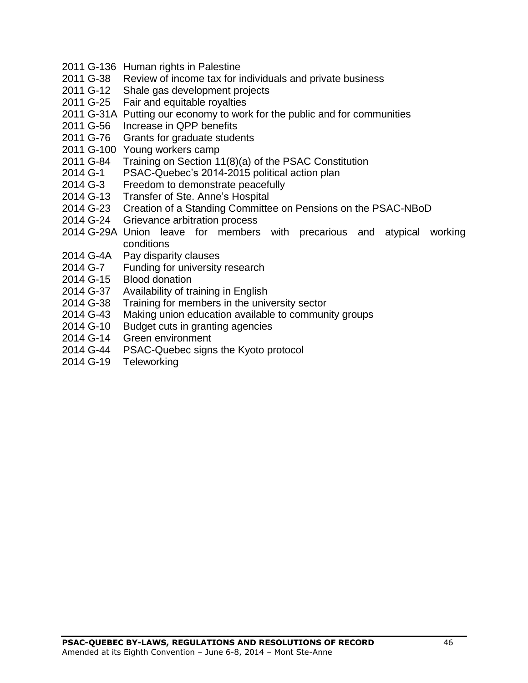- 2011 G-136 Human rights in Palestine
- 2011 G-38 Review of income tax for individuals and private business
- 2011 G-12 Shale gas development projects
- 2011 G-25 Fair and equitable royalties
- 2011 G-31A Putting our economy to work for the public and for communities
- 2011 G-56 Increase in QPP benefits
- 2011 G-76 Grants for graduate students
- G-100 Young workers camp
- G-84 Training on Section 11(8)(a) of the PSAC Constitution
- G-1 PSAC-Quebec's 2014-2015 political action plan
- G-3 Freedom to demonstrate peacefully
- G-13 Transfer of Ste. Anne's Hospital
- G-23 Creation of a Standing Committee on Pensions on the PSAC-NBoD
- G-24 Grievance arbitration process
- G-29A Union leave for members with precarious and atypical working conditions
- G-4A Pay disparity clauses
- G-7 Funding for university research
- G-15 Blood donation
- G-37 Availability of training in English
- G-38 Training for members in the university sector
- G-43 Making union education available to community groups
- G-10 Budget cuts in granting agencies
- G-14 Green environment
- G-44 PSAC-Quebec signs the Kyoto protocol
- G-19 Teleworking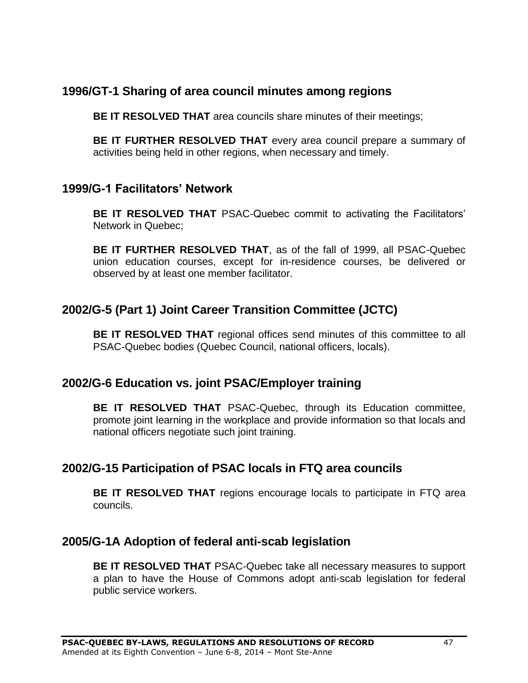# <span id="page-46-0"></span>**1996/GT-1 Sharing of area council minutes among regions**

**BE IT RESOLVED THAT** area councils share minutes of their meetings;

**BE IT FURTHER RESOLVED THAT** every area council prepare a summary of activities being held in other regions, when necessary and timely.

### <span id="page-46-1"></span>**1999/G-1 Facilitators' Network**

**BE IT RESOLVED THAT** PSAC-Quebec commit to activating the Facilitators' Network in Quebec;

**BE IT FURTHER RESOLVED THAT**, as of the fall of 1999, all PSAC-Quebec union education courses, except for in-residence courses, be delivered or observed by at least one member facilitator.

# <span id="page-46-2"></span>**2002/G-5 (Part 1) Joint Career Transition Committee (JCTC)**

**BE IT RESOLVED THAT** regional offices send minutes of this committee to all PSAC-Quebec bodies (Quebec Council, national officers, locals).

# <span id="page-46-3"></span>**2002/G-6 Education vs. joint PSAC/Employer training**

**BE IT RESOLVED THAT** PSAC-Quebec, through its Education committee, promote joint learning in the workplace and provide information so that locals and national officers negotiate such joint training.

# <span id="page-46-4"></span>**2002/G-15 Participation of PSAC locals in FTQ area councils**

**BE IT RESOLVED THAT** regions encourage locals to participate in FTQ area councils.

### <span id="page-46-5"></span>**2005/G-1A Adoption of federal anti-scab legislation**

**BE IT RESOLVED THAT** PSAC-Quebec take all necessary measures to support a plan to have the House of Commons adopt anti-scab legislation for federal public service workers.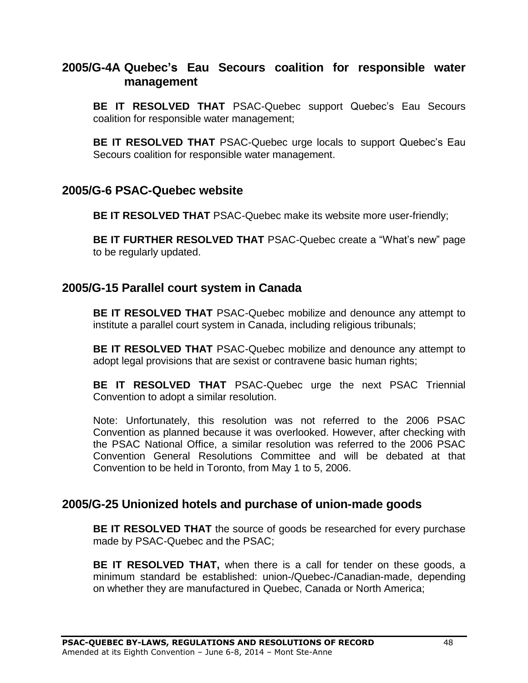# <span id="page-47-0"></span>**2005/G-4A Quebec's Eau Secours coalition for responsible water management**

**BE IT RESOLVED THAT** PSAC-Quebec support Quebec's Eau Secours coalition for responsible water management;

**BE IT RESOLVED THAT** PSAC-Quebec urge locals to support Quebec's Eau Secours coalition for responsible water management.

### <span id="page-47-1"></span>**2005/G-6 PSAC-Quebec website**

**BE IT RESOLVED THAT** PSAC-Quebec make its website more user-friendly;

**BE IT FURTHER RESOLVED THAT** PSAC-Quebec create a "What's new" page to be regularly updated.

# <span id="page-47-2"></span>**2005/G-15 Parallel court system in Canada**

**BE IT RESOLVED THAT** PSAC-Quebec mobilize and denounce any attempt to institute a parallel court system in Canada, including religious tribunals;

**BE IT RESOLVED THAT** PSAC-Quebec mobilize and denounce any attempt to adopt legal provisions that are sexist or contravene basic human rights;

**BE IT RESOLVED THAT** PSAC-Quebec urge the next PSAC Triennial Convention to adopt a similar resolution.

Note: Unfortunately, this resolution was not referred to the 2006 PSAC Convention as planned because it was overlooked. However, after checking with the PSAC National Office, a similar resolution was referred to the 2006 PSAC Convention General Resolutions Committee and will be debated at that Convention to be held in Toronto, from May 1 to 5, 2006.

# <span id="page-47-3"></span>**2005/G-25 Unionized hotels and purchase of union-made goods**

**BE IT RESOLVED THAT** the source of goods be researched for every purchase made by PSAC-Quebec and the PSAC;

**BE IT RESOLVED THAT,** when there is a call for tender on these goods, a minimum standard be established: union-/Quebec-/Canadian-made, depending on whether they are manufactured in Quebec, Canada or North America;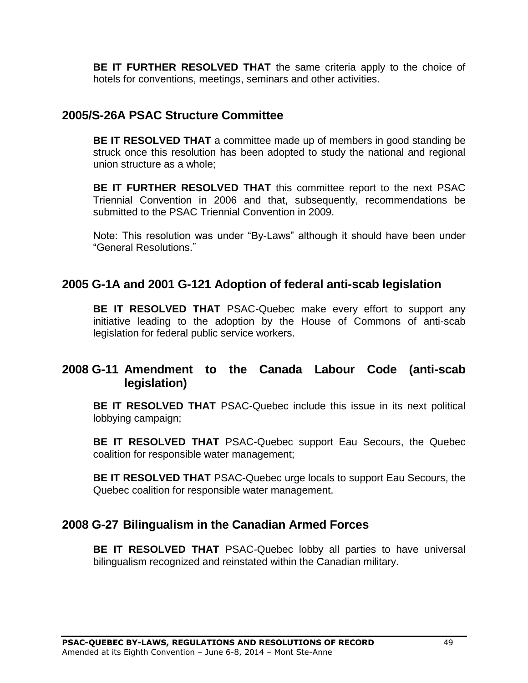**BE IT FURTHER RESOLVED THAT** the same criteria apply to the choice of hotels for conventions, meetings, seminars and other activities.

# <span id="page-48-0"></span>**2005/S-26A PSAC Structure Committee**

**BE IT RESOLVED THAT** a committee made up of members in good standing be struck once this resolution has been adopted to study the national and regional union structure as a whole;

**BE IT FURTHER RESOLVED THAT** this committee report to the next PSAC Triennial Convention in 2006 and that, subsequently, recommendations be submitted to the PSAC Triennial Convention in 2009.

Note: This resolution was under "By-Laws" although it should have been under "General Resolutions. **"**

# <span id="page-48-1"></span>**2005 G-1A and 2001 G-121 Adoption of federal anti-scab legislation**

**BE IT RESOLVED THAT** PSAC-Quebec make every effort to support any initiative leading to the adoption by the House of Commons of anti-scab legislation for federal public service workers.

# <span id="page-48-2"></span>**2008 G-11 Amendment to the Canada Labour Code (anti-scab legislation)**

**BE IT RESOLVED THAT** PSAC-Quebec include this issue in its next political lobbying campaign;

**BE IT RESOLVED THAT** PSAC-Quebec support Eau Secours, the Quebec coalition for responsible water management;

**BE IT RESOLVED THAT** PSAC-Quebec urge locals to support Eau Secours, the Quebec coalition for responsible water management.

# <span id="page-48-3"></span>**2008 G-27 Bilingualism in the Canadian Armed Forces**

**BE IT RESOLVED THAT** PSAC-Quebec lobby all parties to have universal bilingualism recognized and reinstated within the Canadian military.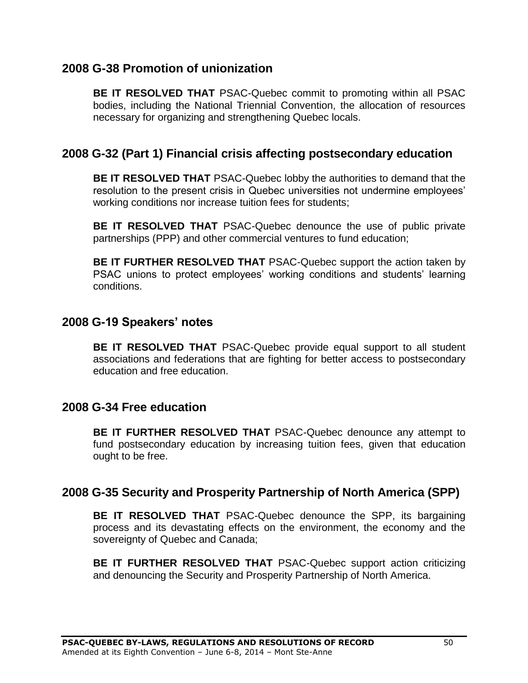# **2008 G-38 Promotion of unionization**

**BE IT RESOLVED THAT** PSAC-Quebec commit to promoting within all PSAC bodies, including the National Triennial Convention, the allocation of resources necessary for organizing and strengthening Quebec locals.

# <span id="page-49-0"></span>**2008 G-32 (Part 1) Financial crisis affecting postsecondary education**

**BE IT RESOLVED THAT** PSAC-Quebec lobby the authorities to demand that the resolution to the present crisis in Quebec universities not undermine employees' working conditions nor increase tuition fees for students;

**BE IT RESOLVED THAT** PSAC-Quebec denounce the use of public private partnerships (PPP) and other commercial ventures to fund education;

**BE IT FURTHER RESOLVED THAT** PSAC-Quebec support the action taken by PSAC unions to protect employees' working conditions and students' learning conditions.

# <span id="page-49-1"></span>**2008 G-19 Speakers' notes**

**BE IT RESOLVED THAT** PSAC-Quebec provide equal support to all student associations and federations that are fighting for better access to postsecondary education and free education.

# <span id="page-49-2"></span>**2008 G-34 Free education**

**BE IT FURTHER RESOLVED THAT** PSAC-Quebec denounce any attempt to fund postsecondary education by increasing tuition fees, given that education ought to be free.

# <span id="page-49-3"></span>**2008 G-35 Security and Prosperity Partnership of North America (SPP)**

**BE IT RESOLVED THAT** PSAC-Quebec denounce the SPP, its bargaining process and its devastating effects on the environment, the economy and the sovereignty of Quebec and Canada;

**BE IT FURTHER RESOLVED THAT** PSAC-Quebec support action criticizing and denouncing the Security and Prosperity Partnership of North America.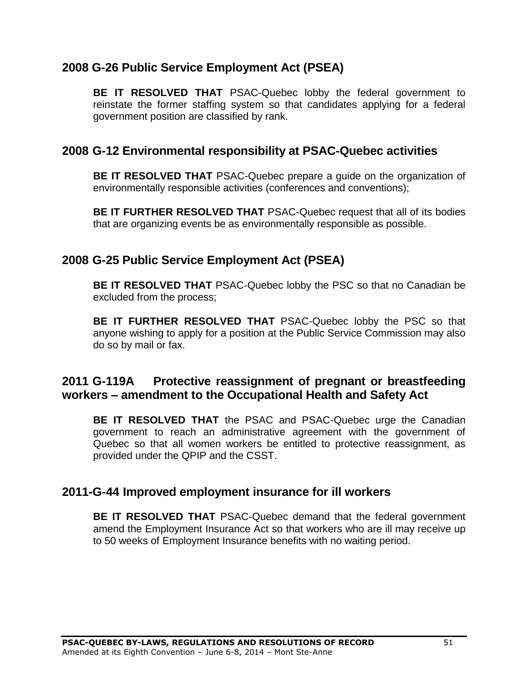# <span id="page-50-0"></span>**2008 G-26 Public Service Employment Act (PSEA)**

**BE IT RESOLVED THAT** PSAC-Quebec lobby the federal government to reinstate the former staffing system so that candidates applying for a federal government position are classified by rank.

# <span id="page-50-1"></span>**2008 G-12 Environmental responsibility at PSAC-Quebec activities**

**BE IT RESOLVED THAT** PSAC-Quebec prepare a guide on the organization of environmentally responsible activities (conferences and conventions);

**BE IT FURTHER RESOLVED THAT** PSAC-Quebec request that all of its bodies that are organizing events be as environmentally responsible as possible.

# <span id="page-50-2"></span>**2008 G-25 Public Service Employment Act (PSEA)**

**BE IT RESOLVED THAT** PSAC-Quebec lobby the PSC so that no Canadian be excluded from the process;

**BE IT FURTHER RESOLVED THAT** PSAC-Quebec lobby the PSC so that anyone wishing to apply for a position at the Public Service Commission may also do so by mail or fax.

# <span id="page-50-3"></span>**2011 G-119A Protective reassignment of pregnant or breastfeeding workers – amendment to the Occupational Health and Safety Act**

**BE IT RESOLVED THAT** the PSAC and PSAC-Quebec urge the Canadian government to reach an administrative agreement with the government of Quebec so that all women workers be entitled to protective reassignment, as provided under the QPIP and the CSST.

# <span id="page-50-4"></span>**2011-G-44 Improved employment insurance for ill workers**

**BE IT RESOLVED THAT** PSAC-Quebec demand that the federal government amend the Employment Insurance Act so that workers who are ill may receive up to 50 weeks of Employment Insurance benefits with no waiting period.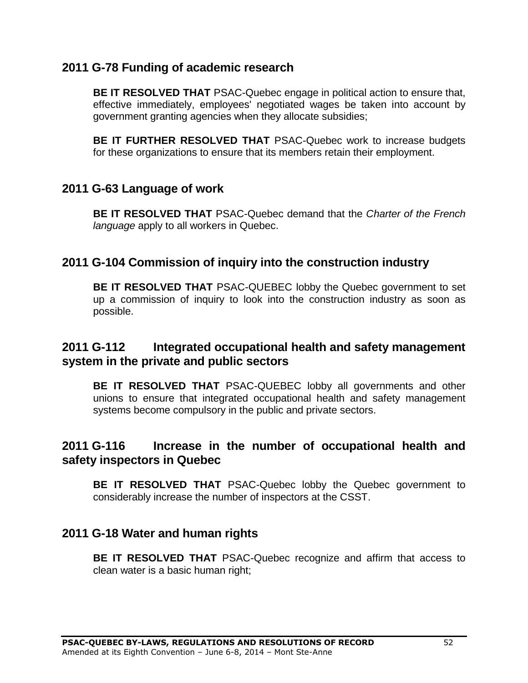# <span id="page-51-0"></span>**2011 G-78 Funding of academic research**

**BE IT RESOLVED THAT** PSAC-Quebec engage in political action to ensure that, effective immediately, employees' negotiated wages be taken into account by government granting agencies when they allocate subsidies;

**BE IT FURTHER RESOLVED THAT** PSAC-Quebec work to increase budgets for these organizations to ensure that its members retain their employment.

# <span id="page-51-1"></span>**2011 G-63 Language of work**

**BE IT RESOLVED THAT** PSAC-Quebec demand that the *Charter of the French language* apply to all workers in Quebec.

# <span id="page-51-2"></span>**2011 G-104 Commission of inquiry into the construction industry**

**BE IT RESOLVED THAT** PSAC-QUEBEC lobby the Quebec government to set up a commission of inquiry to look into the construction industry as soon as possible.

# <span id="page-51-3"></span>**2011 G-112 Integrated occupational health and safety management system in the private and public sectors**

**BE IT RESOLVED THAT** PSAC-QUEBEC lobby all governments and other unions to ensure that integrated occupational health and safety management systems become compulsory in the public and private sectors.

# <span id="page-51-4"></span>**2011 G-116 Increase in the number of occupational health and safety inspectors in Quebec**

**BE IT RESOLVED THAT** PSAC-Quebec lobby the Quebec government to considerably increase the number of inspectors at the CSST.

# <span id="page-51-5"></span>**2011 G-18 Water and human rights**

**BE IT RESOLVED THAT** PSAC-Quebec recognize and affirm that access to clean water is a basic human right;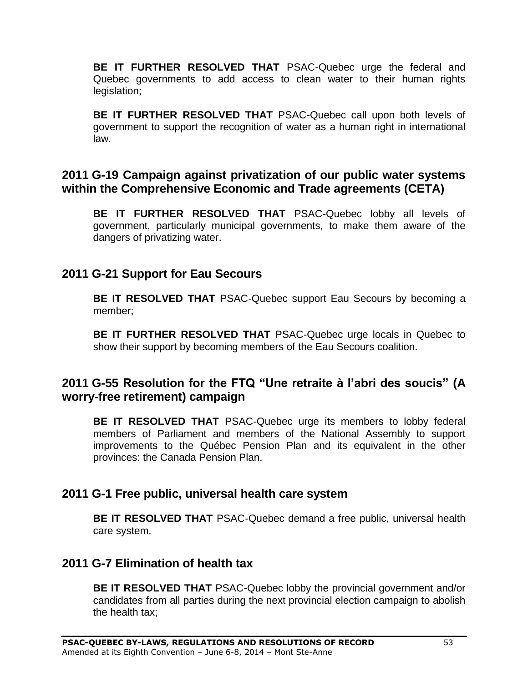**BE IT FURTHER RESOLVED THAT** PSAC-Quebec urge the federal and Quebec governments to add access to clean water to their human rights legislation;

**BE IT FURTHER RESOLVED THAT** PSAC-Quebec call upon both levels of government to support the recognition of water as a human right in international law.

# <span id="page-52-0"></span>**2011 G-19 Campaign against privatization of our public water systems within the Comprehensive Economic and Trade agreements (CETA)**

**BE IT FURTHER RESOLVED THAT** PSAC-Quebec lobby all levels of government, particularly municipal governments, to make them aware of the dangers of privatizing water.

# <span id="page-52-1"></span>**2011 G-21 Support for Eau Secours**

**BE IT RESOLVED THAT** PSAC-Quebec support Eau Secours by becoming a member;

**BE IT FURTHER RESOLVED THAT** PSAC-Quebec urge locals in Quebec to show their support by becoming members of the Eau Secours coalition.

# <span id="page-52-2"></span>**2011 G-55 Resolution for the FTQ "Une retraite à l'abri des soucis" (A worry-free retirement) campaign**

**BE IT RESOLVED THAT** PSAC-Quebec urge its members to lobby federal members of Parliament and members of the National Assembly to support improvements to the Québec Pension Plan and its equivalent in the other provinces: the Canada Pension Plan.

# <span id="page-52-3"></span>**2011 G-1 Free public, universal health care system**

**BE IT RESOLVED THAT** PSAC-Quebec demand a free public, universal health care system.

# <span id="page-52-4"></span>**2011 G-7 Elimination of health tax**

**BE IT RESOLVED THAT** PSAC-Quebec lobby the provincial government and/or candidates from all parties during the next provincial election campaign to abolish the health tax;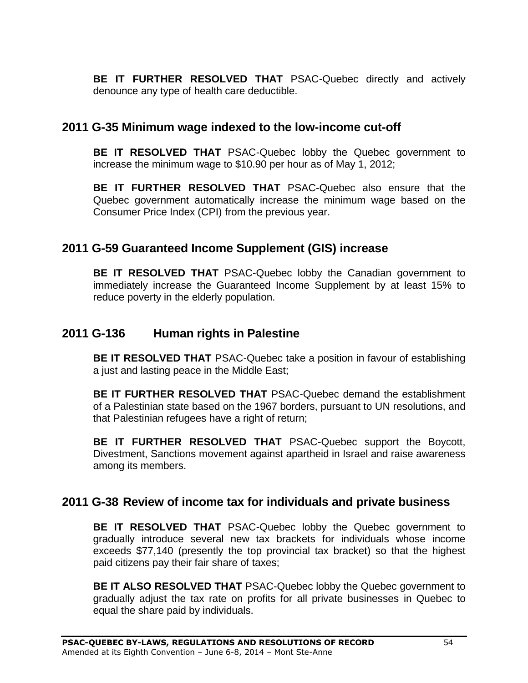**BE IT FURTHER RESOLVED THAT** PSAC-Quebec directly and actively denounce any type of health care deductible.

# <span id="page-53-0"></span>**2011 G-35 Minimum wage indexed to the low-income cut-off**

**BE IT RESOLVED THAT** PSAC-Quebec lobby the Quebec government to increase the minimum wage to \$10.90 per hour as of May 1, 2012;

**BE IT FURTHER RESOLVED THAT** PSAC-Quebec also ensure that the Quebec government automatically increase the minimum wage based on the Consumer Price Index (CPI) from the previous year.

# <span id="page-53-1"></span>**2011 G-59 Guaranteed Income Supplement (GIS) increase**

**BE IT RESOLVED THAT** PSAC-Quebec lobby the Canadian government to immediately increase the Guaranteed Income Supplement by at least 15% to reduce poverty in the elderly population.

# <span id="page-53-2"></span>**2011 G-136 Human rights in Palestine**

**BE IT RESOLVED THAT** PSAC-Quebec take a position in favour of establishing a just and lasting peace in the Middle East;

**BE IT FURTHER RESOLVED THAT** PSAC-Quebec demand the establishment of a Palestinian state based on the 1967 borders, pursuant to UN resolutions, and that Palestinian refugees have a right of return;

**BE IT FURTHER RESOLVED THAT** PSAC-Quebec support the Boycott, Divestment, Sanctions movement against apartheid in Israel and raise awareness among its members.

# <span id="page-53-3"></span>**2011 G-38 Review of income tax for individuals and private business**

**BE IT RESOLVED THAT** PSAC-Quebec lobby the Quebec government to gradually introduce several new tax brackets for individuals whose income exceeds \$77,140 (presently the top provincial tax bracket) so that the highest paid citizens pay their fair share of taxes;

**BE IT ALSO RESOLVED THAT** PSAC-Quebec lobby the Quebec government to gradually adjust the tax rate on profits for all private businesses in Quebec to equal the share paid by individuals.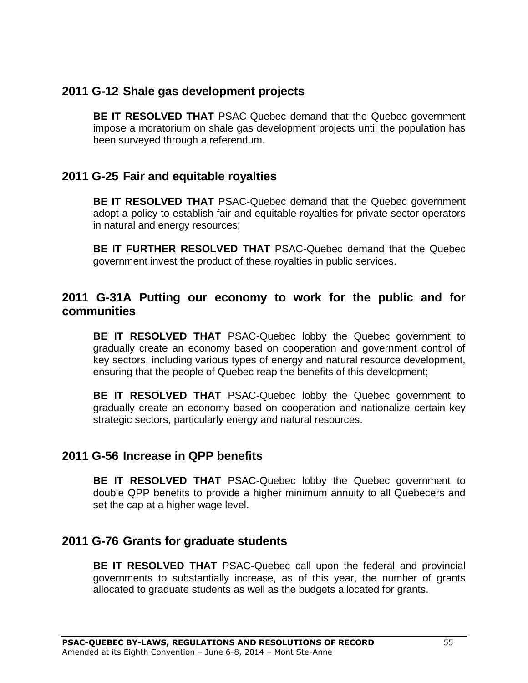# <span id="page-54-0"></span>**2011 G-12 Shale gas development projects**

**BE IT RESOLVED THAT** PSAC-Quebec demand that the Quebec government impose a moratorium on shale gas development projects until the population has been surveyed through a referendum.

# <span id="page-54-1"></span>**2011 G-25 Fair and equitable royalties**

**BE IT RESOLVED THAT** PSAC-Quebec demand that the Quebec government adopt a policy to establish fair and equitable royalties for private sector operators in natural and energy resources;

**BE IT FURTHER RESOLVED THAT** PSAC-Quebec demand that the Quebec government invest the product of these royalties in public services.

# <span id="page-54-2"></span>**2011 G-31A Putting our economy to work for the public and for communities**

**BE IT RESOLVED THAT** PSAC-Quebec lobby the Quebec government to gradually create an economy based on cooperation and government control of key sectors, including various types of energy and natural resource development, ensuring that the people of Quebec reap the benefits of this development;

**BE IT RESOLVED THAT** PSAC-Quebec lobby the Quebec government to gradually create an economy based on cooperation and nationalize certain key strategic sectors, particularly energy and natural resources.

# <span id="page-54-3"></span>**2011 G-56 Increase in QPP benefits**

**BE IT RESOLVED THAT** PSAC-Quebec lobby the Quebec government to double QPP benefits to provide a higher minimum annuity to all Quebecers and set the cap at a higher wage level.

# <span id="page-54-4"></span>**2011 G-76 Grants for graduate students**

**BE IT RESOLVED THAT** PSAC-Quebec call upon the federal and provincial governments to substantially increase, as of this year, the number of grants allocated to graduate students as well as the budgets allocated for grants.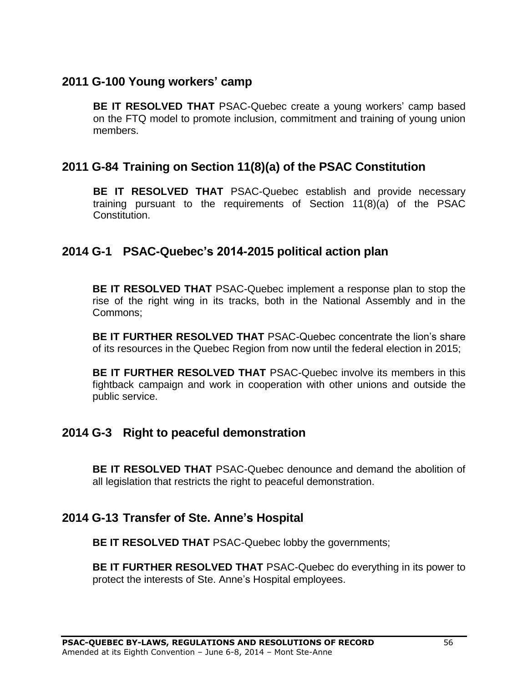# <span id="page-55-0"></span>**2011 G-100 Young workers' camp**

**BE IT RESOLVED THAT** PSAC-Quebec create a young workers' camp based on the FTQ model to promote inclusion, commitment and training of young union members.

# <span id="page-55-1"></span>**2011 G-84 Training on Section 11(8)(a) of the PSAC Constitution**

**BE IT RESOLVED THAT** PSAC-Quebec establish and provide necessary training pursuant to the requirements of Section 11(8)(a) of the PSAC Constitution.

# <span id="page-55-2"></span>**2014 G-1 PSAC-Quebec's 2014-2015 political action plan**

**BE IT RESOLVED THAT** PSAC-Quebec implement a response plan to stop the rise of the right wing in its tracks, both in the National Assembly and in the Commons;

**BE IT FURTHER RESOLVED THAT** PSAC-Quebec concentrate the lion's share of its resources in the Quebec Region from now until the federal election in 2015;

**BE IT FURTHER RESOLVED THAT** PSAC-Quebec involve its members in this fightback campaign and work in cooperation with other unions and outside the public service.

# <span id="page-55-3"></span>**2014 G-3 Right to peaceful demonstration**

**BE IT RESOLVED THAT** PSAC-Quebec denounce and demand the abolition of all legislation that restricts the right to peaceful demonstration.

# <span id="page-55-4"></span>**2014 G-13 Transfer of Ste. Anne's Hospital**

**BE IT RESOLVED THAT** PSAC-Quebec lobby the governments;

**BE IT FURTHER RESOLVED THAT** PSAC-Quebec do everything in its power to protect the interests of Ste. Anne's Hospital employees.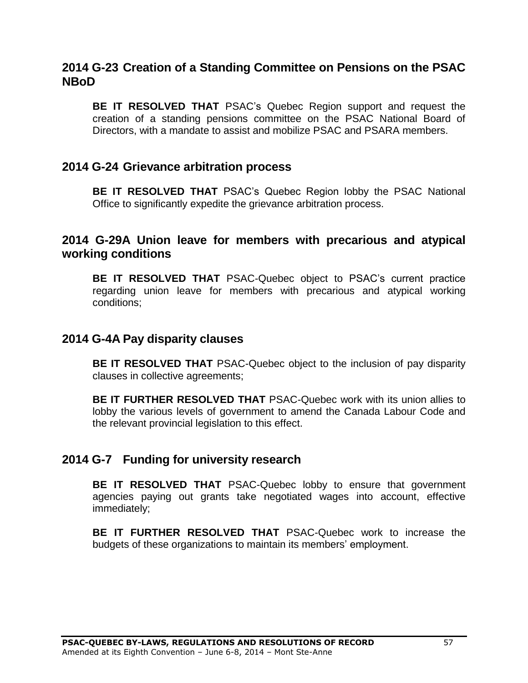# <span id="page-56-0"></span>**2014 G-23 Creation of a Standing Committee on Pensions on the PSAC NBoD**

**BE IT RESOLVED THAT** PSAC's Quebec Region support and request the creation of a standing pensions committee on the PSAC National Board of Directors, with a mandate to assist and mobilize PSAC and PSARA members.

### <span id="page-56-1"></span>**2014 G-24 Grievance arbitration process**

**BE IT RESOLVED THAT** PSAC's Quebec Region lobby the PSAC National Office to significantly expedite the grievance arbitration process.

### <span id="page-56-2"></span>**2014 G-29A Union leave for members with precarious and atypical working conditions**

**BE IT RESOLVED THAT** PSAC-Quebec object to PSAC's current practice regarding union leave for members with precarious and atypical working conditions;

### <span id="page-56-3"></span>**2014 G-4A Pay disparity clauses**

**BE IT RESOLVED THAT** PSAC-Quebec object to the inclusion of pay disparity clauses in collective agreements;

**BE IT FURTHER RESOLVED THAT** PSAC-Quebec work with its union allies to lobby the various levels of government to amend the Canada Labour Code and the relevant provincial legislation to this effect.

### <span id="page-56-4"></span>**2014 G-7 Funding for university research**

**BE IT RESOLVED THAT** PSAC-Quebec lobby to ensure that government agencies paying out grants take negotiated wages into account, effective immediately;

**BE IT FURTHER RESOLVED THAT** PSAC-Quebec work to increase the budgets of these organizations to maintain its members' employment.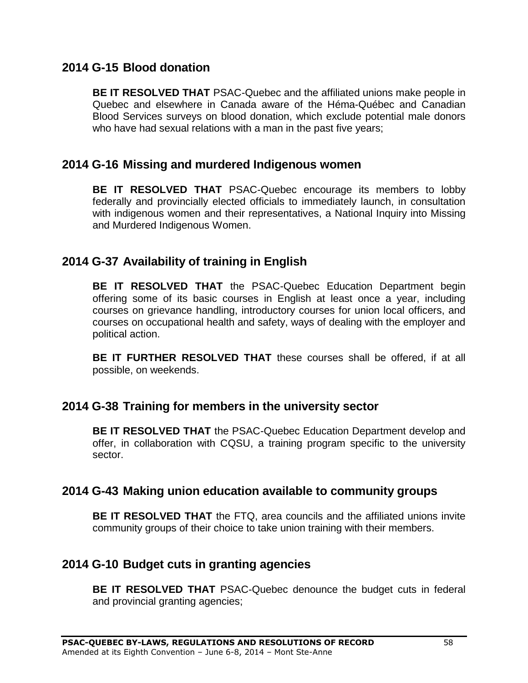# <span id="page-57-0"></span>**2014 G-15 Blood donation**

**BE IT RESOLVED THAT** PSAC-Quebec and the affiliated unions make people in Quebec and elsewhere in Canada aware of the Héma-Québec and Canadian Blood Services surveys on blood donation, which exclude potential male donors who have had sexual relations with a man in the past five years;

# <span id="page-57-1"></span>**2014 G-16 Missing and murdered Indigenous women**

**BE IT RESOLVED THAT** PSAC-Quebec encourage its members to lobby federally and provincially elected officials to immediately launch, in consultation with indigenous women and their representatives, a National Inquiry into Missing and Murdered Indigenous Women.

# <span id="page-57-2"></span>**2014 G-37 Availability of training in English**

**BE IT RESOLVED THAT** the PSAC-Quebec Education Department begin offering some of its basic courses in English at least once a year, including courses on grievance handling, introductory courses for union local officers, and courses on occupational health and safety, ways of dealing with the employer and political action.

**BE IT FURTHER RESOLVED THAT** these courses shall be offered, if at all possible, on weekends.

# <span id="page-57-3"></span>**2014 G-38 Training for members in the university sector**

**BE IT RESOLVED THAT** the PSAC-Quebec Education Department develop and offer, in collaboration with CQSU, a training program specific to the university sector.

# <span id="page-57-4"></span>**2014 G-43 Making union education available to community groups**

**BE IT RESOLVED THAT** the FTQ, area councils and the affiliated unions invite community groups of their choice to take union training with their members.

# <span id="page-57-5"></span>**2014 G-10 Budget cuts in granting agencies**

**BE IT RESOLVED THAT** PSAC-Quebec denounce the budget cuts in federal and provincial granting agencies;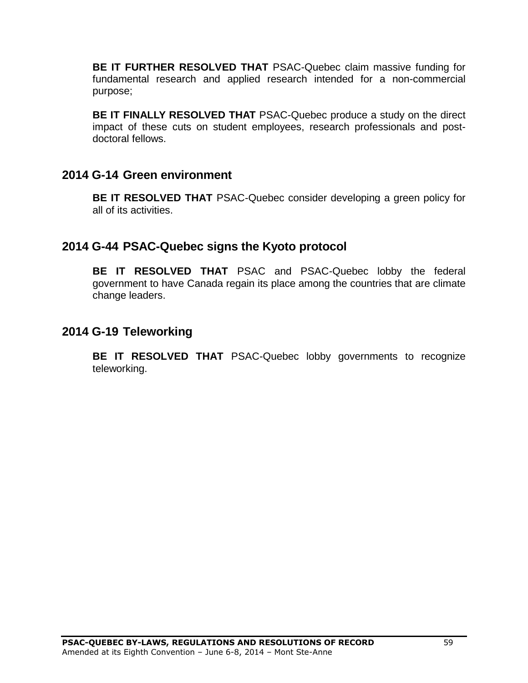**BE IT FURTHER RESOLVED THAT** PSAC-Quebec claim massive funding for fundamental research and applied research intended for a non-commercial purpose;

**BE IT FINALLY RESOLVED THAT** PSAC-Quebec produce a study on the direct impact of these cuts on student employees, research professionals and postdoctoral fellows.

# <span id="page-58-0"></span>**2014 G-14 Green environment**

**BE IT RESOLVED THAT** PSAC-Quebec consider developing a green policy for all of its activities.

# <span id="page-58-1"></span>**2014 G-44 PSAC-Quebec signs the Kyoto protocol**

**BE IT RESOLVED THAT** PSAC and PSAC-Quebec lobby the federal government to have Canada regain its place among the countries that are climate change leaders.

# <span id="page-58-2"></span>**2014 G-19 Teleworking**

**BE IT RESOLVED THAT** PSAC-Quebec lobby governments to recognize teleworking.